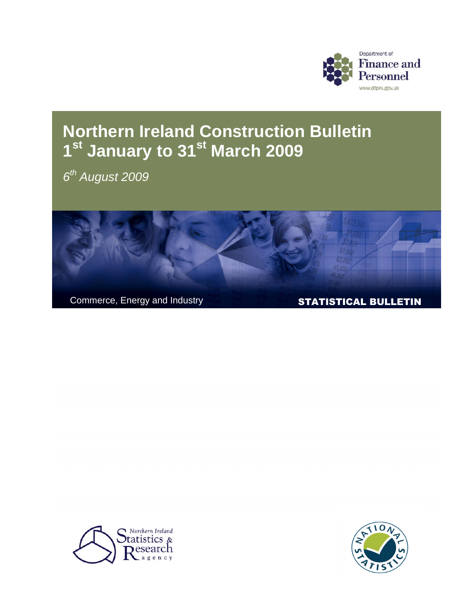

# **Northern Ireland Construction Bulletin 1 st January to 31 st March 2009**

*6 th August 2009*





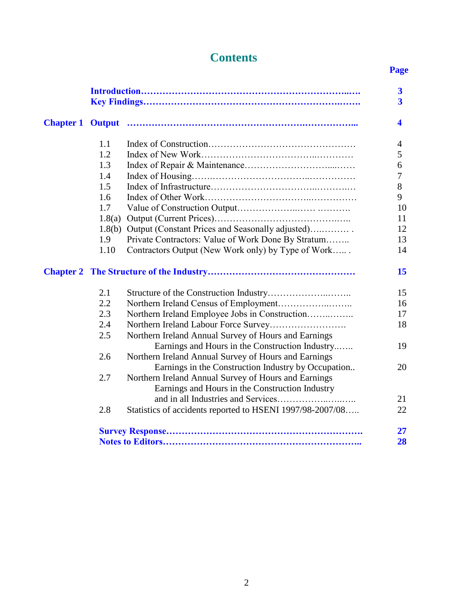## **Contents**

## **Page**

|                  |        |                                                           | $\overline{\mathbf{3}}$<br>$\overline{\mathbf{3}}$ |
|------------------|--------|-----------------------------------------------------------|----------------------------------------------------|
| <b>Chapter 1</b> |        |                                                           | $\overline{\mathbf{4}}$                            |
|                  | 1.1    |                                                           | 4                                                  |
|                  | 1.2    |                                                           | 5                                                  |
|                  | 1.3    |                                                           | 6                                                  |
|                  | 1.4    |                                                           | 7                                                  |
|                  | 1.5    |                                                           | 8                                                  |
|                  | 1.6    |                                                           | 9                                                  |
|                  | 1.7    |                                                           | 10                                                 |
|                  | 1.8(a) |                                                           | 11                                                 |
|                  | 1.8(b) | Output (Constant Prices and Seasonally adjusted)          | 12                                                 |
|                  | 1.9    | Private Contractors: Value of Work Done By Stratum        | 13                                                 |
|                  | 1.10   | Contractors Output (New Work only) by Type of Work        | 14                                                 |
|                  |        |                                                           | 15                                                 |
|                  | 2.1    |                                                           | 15                                                 |
|                  | 2.2    |                                                           | 16                                                 |
|                  | 2.3    | Northern Ireland Employee Jobs in Construction            | 17                                                 |
|                  | 2.4    |                                                           | 18                                                 |
|                  | 2.5    | Northern Ireland Annual Survey of Hours and Earnings      |                                                    |
|                  |        | Earnings and Hours in the Construction Industry           | 19                                                 |
|                  | 2.6    | Northern Ireland Annual Survey of Hours and Earnings      |                                                    |
|                  |        | Earnings in the Construction Industry by Occupation       | 20                                                 |
|                  | 2.7    | Northern Ireland Annual Survey of Hours and Earnings      |                                                    |
|                  |        | Earnings and Hours in the Construction Industry           |                                                    |
|                  |        |                                                           | 21                                                 |
|                  | 2.8    | Statistics of accidents reported to HSENI 1997/98-2007/08 | 22                                                 |
|                  |        |                                                           | 27                                                 |
|                  |        |                                                           | 28                                                 |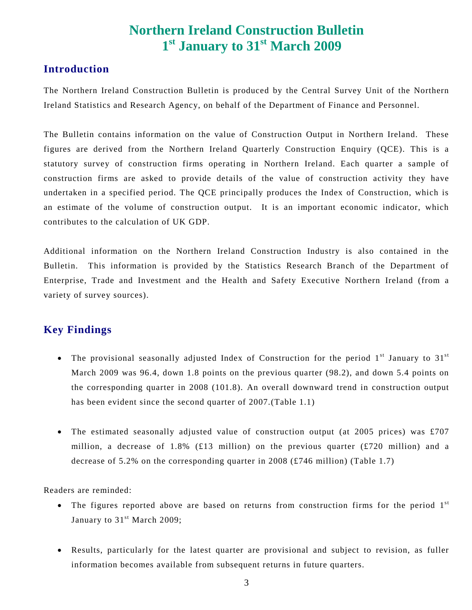## **Northern Ireland Construction Bulletin 1 st January to 31 st March 2009**

### **Introduction**

The Northern Ireland Construction Bulletin is produced by the Central Survey Unit of the Northern Ireland Statistics and Research Agency, on behalf of the Department of Finance and Personnel.

The Bulletin contains information on the value of Construction Output in Northern Ireland. These figures are derived from the Northern Ireland Quarterly Construction Enquiry (QCE). This is a statutory survey of construction firms operating in Northern Ireland. Each quarter a sample of construction firms are asked to provide details of the value of construction activity they have undertaken in a specified period. The QCE principally produces the Index of Construction, which is an estimate of the volume of construction output. It is an important economic indicator, which contributes to the calculation of UK GDP.

Additional information on the Northern Ireland Construction Industry is also contained in the Bulletin. This information is provided by the Statistics Research Branch of the Department of Enterprise, Trade and Investment and the Health and Safety Executive Northern Ireland (from a variety of survey sources).

### **Key Findings**

- The provisional seasonally adjusted Index of Construction for the period  $1<sup>st</sup>$  January to  $31<sup>st</sup>$ March 2009 was 96.4, down 1.8 points on the previous quarter (98.2), and down 5.4 points on the corresponding quarter in 2008 (101.8). An overall downward trend in construction output has been evident since the second quarter of 2007.(Table 1.1)
- The estimated seasonally adjusted value of construction output (at 2005 prices) was £707 million, a decrease of 1.8% (£13 million) on the previous quarter (£720 million) and a decrease of 5.2% on the corresponding quarter in 2008 (£746 million) (Table 1.7)

Readers are reminded:

- $\bullet$  The figures reported above are based on returns from construction firms for the period  $1<sup>st</sup>$ January to 31<sup>st</sup> March 2009;
- Results, particularly for the latest quarter are provisional and subject to revision, as fuller information becomes available from subsequent returns in future quarters.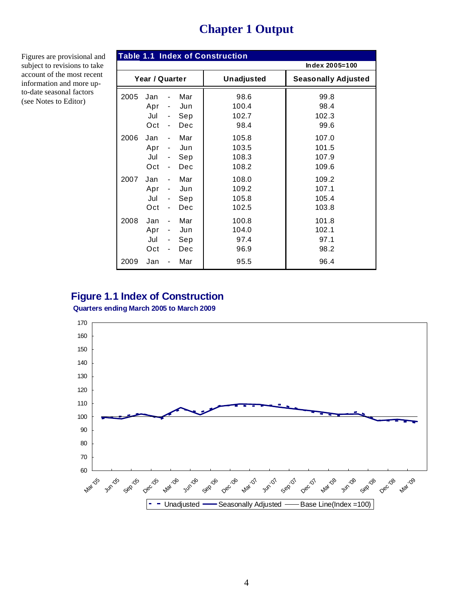## **Chapter 1 Output**

Figures are provisional and subject to revisions to take account of the most recent information and more upto-date seasonal factors (see Notes to Editor)

|      |                                 |                                                                                                                                |                                 | <b>Table 1.1 Index of Construction</b>   |                                          |
|------|---------------------------------|--------------------------------------------------------------------------------------------------------------------------------|---------------------------------|------------------------------------------|------------------------------------------|
|      |                                 |                                                                                                                                |                                 |                                          | Index 2005=100                           |
|      | Year / Quarter                  |                                                                                                                                |                                 | Unadjusted                               | <b>Seasonally Adjusted</b>               |
| 2005 | Jan<br>Apr<br>Jul               | $\overline{\phantom{a}}$<br>$\overline{\phantom{0}}$                                                                           | Mar<br>Jun<br>Sep               | 98.6<br>100.4<br>102.7                   | 99.8<br>98.4<br>102.3                    |
| 2006 | Oct<br>Jan<br>Apr<br>Jul<br>Oct | $\overline{\phantom{a}}$<br>$\overline{\phantom{a}}$<br>$\overline{\phantom{a}}$<br>$\overline{\phantom{a}}$<br>$\blacksquare$ | Dec<br>Mar<br>Jun<br>Sep<br>Dec | 98.4<br>105.8<br>103.5<br>108.3<br>108.2 | 99.6<br>107.0<br>101.5<br>107.9<br>109.6 |
| 2007 | Jan<br>Apr<br>Jul<br>Oct        | $\blacksquare$<br>$\overline{\phantom{a}}$<br>$\overline{\phantom{a}}$<br>$\overline{\phantom{a}}$                             | Mar<br>Jun<br>Sep<br>Dec        | 108.0<br>109.2<br>105.8<br>102.5         | 109.2<br>107.1<br>105.4<br>103.8         |
| 2008 | Jan<br>Apr<br>Jul<br>Oct        | $\overline{\phantom{a}}$<br>$\overline{\phantom{a}}$<br>$\qquad \qquad \blacksquare$<br>$\overline{\phantom{0}}$               | Mar<br>Jun<br>Sep<br>Dec        | 100.8<br>104.0<br>97.4<br>96.9           | 101.8<br>102.1<br>97.1<br>98.2           |
| 2009 | Jan                             |                                                                                                                                | Mar                             | 95.5                                     | 96.4                                     |

### **Figure 1.1 Index of Construction**

**Quarters ending March 2005 to March 2009**

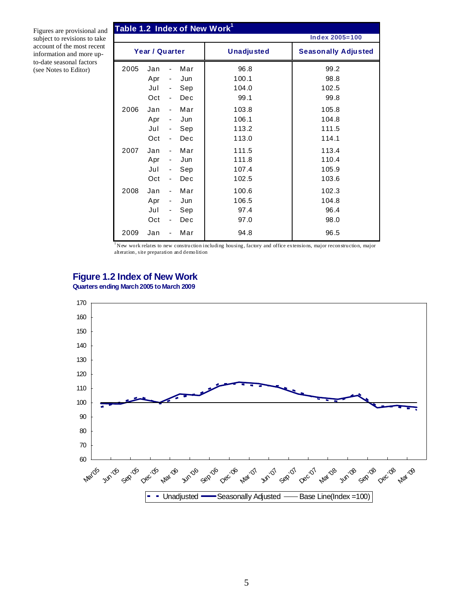Figures are provisional and subject to revisions to take account of the most recent information and more upto-date seasonal factors (see Notes to Editor)

|      |                |                              |     | Table 1.2 Index of New Work <sup>1</sup> |                            |
|------|----------------|------------------------------|-----|------------------------------------------|----------------------------|
|      |                |                              |     |                                          | <b>Index 2005=100</b>      |
|      | Year / Quarter |                              |     | <b>Unadjusted</b>                        | <b>Seasonally Adjusted</b> |
| 2005 | Jan            |                              | Mar | 96.8                                     | 99.2                       |
|      | Apr            | $\overline{\phantom{a}}$     | Jun | 100.1                                    | 98.8                       |
|      | Jul            | $\overline{\phantom{a}}$     | Sep | 104.0                                    | 102.5                      |
|      | Oct            | $\blacksquare$               | Dec | 99.1                                     | 99.8                       |
| 2006 | Jan            | $\blacksquare$               | Mar | 103.8                                    | 105.8                      |
|      | Apr            | $\overline{\phantom{a}}$     | Jun | 106.1                                    | 104.8                      |
|      | Jul            | $\overline{\phantom{0}}$     | Sep | 113.2                                    | 111.5                      |
|      | Oct            | $\blacksquare$               | Dec | 113.0                                    | 114.1                      |
| 2007 | Jan            | $\qquad \qquad \blacksquare$ | Mar | 111.5                                    | 113.4                      |
|      | Apr            | $\overline{\phantom{a}}$     | Jun | 111.8                                    | 110.4                      |
|      | Jul            | $\overline{\phantom{0}}$     | Sep | 107.4                                    | 105.9                      |
|      | Oct            | $\qquad \qquad \blacksquare$ | Dec | 102.5                                    | 103.6                      |
| 2008 | Jan            | $\overline{\phantom{a}}$     | Mar | 100.6                                    | 102.3                      |
|      | Apr            | $\overline{\phantom{a}}$     | Jun | 106.5                                    | 104.8                      |
|      | Jul            | $\qquad \qquad \blacksquare$ | Sep | 97.4                                     | 96.4                       |
|      | Oct            | ٠                            | Dec | 97.0                                     | 98.0                       |
| 2009 | Jan            |                              | Mar | 94.8                                     | 96.5                       |

 $1/N$  ew work relates to new construction including housing, factory and office extensions, major reconstruction, major alteration, site preparation and demolition

#### **Figure 1.2 Index of New Work**

**Quarters ending March 2005 to March 2009**

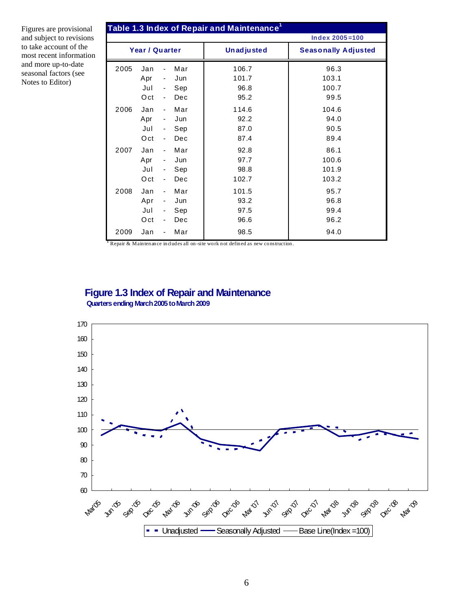Figures are provisional and subject to revisions to take account of the most recent information and more up-to-date seasonal factors (see Notes to Editor)

|      |                          |                                                                                          |                          | Table 1.3 Index of Repair and Maintenance <sup>1</sup> |                                 |
|------|--------------------------|------------------------------------------------------------------------------------------|--------------------------|--------------------------------------------------------|---------------------------------|
|      |                          |                                                                                          |                          |                                                        | $Index 2005 = 100$              |
|      | Year / Quarter           |                                                                                          |                          | <b>Unadjusted</b>                                      | <b>Seasonally Adjusted</b>      |
| 2005 | Jan<br>Apr<br>Jul<br>Oct | $\overline{\phantom{a}}$<br>$\overline{\phantom{a}}$<br>$\overline{\phantom{a}}$         | Mar<br>Jun<br>Sep<br>Dec | 106.7<br>101.7<br>96.8<br>95.2                         | 96.3<br>103.1<br>100.7<br>99.5  |
| 2006 | Jan<br>Apr<br>Jul<br>Oct | $\overline{\phantom{a}}$<br>$\overline{\phantom{a}}$<br>$\blacksquare$<br>÷,             | Mar<br>Jun<br>Sep<br>Dec | 114.6<br>92.2<br>87.0<br>87.4                          | 104.6<br>94.0<br>90.5<br>89.4   |
| 2007 | Jan<br>Apr<br>Jul<br>Oct | $\blacksquare$<br>$\sim$ $-$<br>$\blacksquare$<br>÷,                                     | Mar<br>Jun<br>Sep<br>Dec | 92.8<br>97.7<br>98.8<br>102.7                          | 86.1<br>100.6<br>101.9<br>103.2 |
| 2008 | Jan<br>Apr<br>Jul<br>Oct | $\blacksquare$<br>$\blacksquare$<br>$\overline{\phantom{a}}$<br>$\overline{\phantom{a}}$ | Mar<br>Jun<br>Sep<br>Dec | 101.5<br>93.2<br>97.5<br>96.6                          | 95.7<br>96.8<br>99.4<br>96.2    |
| 2009 | Jan                      |                                                                                          | Mar                      | 98.5                                                   | 94.0                            |

**<sup>1</sup>** Repair & Maintenance includes all on-site work not defined as new construction.

#### **Figure 1.3 Index of Repair and Maintenance Quarters ending March2005 toMarch 2009**

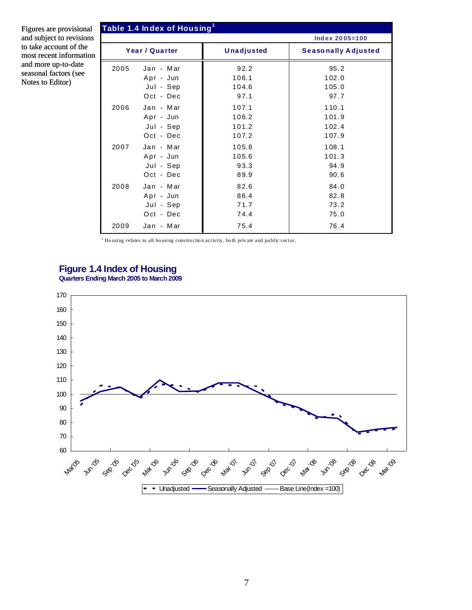Figures are provisional and subject to revisions to take account of the to most recent information and more up-to-date seasonal factors (see Notes to Editor)

|      | Table 1.4 Index of Housing $^{\rm 1}$ |                   |                            |
|------|---------------------------------------|-------------------|----------------------------|
|      |                                       |                   | Index 2005=100             |
|      | Year / Quarter                        | <b>Unadjusted</b> | <b>Seasonally Adjusted</b> |
| 2005 | Jan - Mar                             | 92.2              | 95.2                       |
|      | Apr - Jun                             | 106.1             | 102.0                      |
|      | Jul - Sep                             | 104.6             | 105.0                      |
|      | Oct - Dec                             | 97.1              | 97.7                       |
| 2006 | Jan - Mar                             | 107.1             | 110.1                      |
|      | Apr - Jun                             | 106.2             | 101.9                      |
|      | Jul - Sep                             | 101.2             | 102.4                      |
|      | Oct - Dec                             | 107.2             | 107.9                      |
| 2007 | Jan - Mar                             | 105.8             | 108.1                      |
|      | Apr - Jun                             | 105.6             | 101.3                      |
|      | Jul - Sep                             | 93.3              | 94.9                       |
|      | Oct - Dec                             | 89.9              | 90.6                       |
| 2008 | Jan - Mar                             | 82.6              | 84.0                       |
|      | Apr - Jun                             | 86.4              | 82.8                       |
|      | Jul - Sep                             | 71.7              | 73.2                       |
|      | Oct - Dec                             | 74.4              | 75.0                       |
| 2009 | Jan - Mar                             | 75.4              | 76.4                       |

 $^{\rm 1}$  Ho using relates to all housing construction activity, both private and public sector.

#### **Figure 1.4 Index of Housing Quarters Ending March 2005 to March 2009**

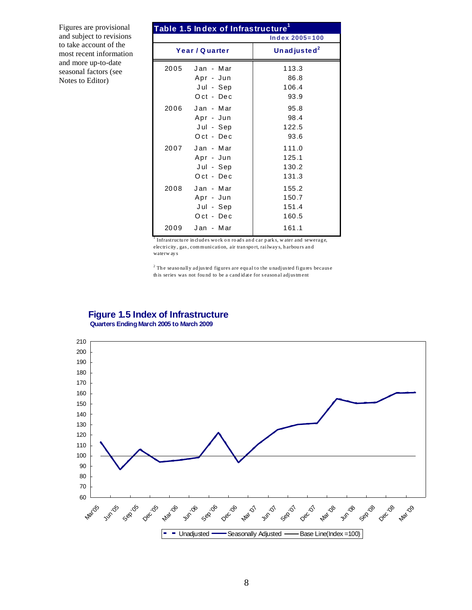Figures are provisional and subject to revisions to take account of the most recent information and more up-to-date seasonal factors (see Notes to Editor)

|      | Table 1.5 In dex of Infrastructure <sup>1</sup>       |                                  |
|------|-------------------------------------------------------|----------------------------------|
|      |                                                       | $Index 2005 = 100$               |
|      | Year / Quarter                                        | Un ad justed <sup>2</sup>        |
| 2005 | Jan - Mar<br>Apr - Jun<br>Jul – Sep<br>Oct - Dec      | 113.3<br>86.8<br>106.4<br>93.9   |
|      | 2006 Jan - Mar<br>Apr - Jun<br>Jul - Sep<br>Oct - Dec | 95.8<br>98.4<br>122.5<br>93.6    |
|      | 2007 Jan - Mar<br>Apr - Jun<br>Jul - Sep<br>Oct - Dec | 111.0<br>125.1<br>130.2<br>131.3 |
| 2008 | Jan - Mar<br>Apr – Jun<br>Jul - Sep<br>Oct - Dec      | 155.2<br>150.7<br>151.4<br>160.5 |
|      | 2009 Jan - Mar                                        | 161.1                            |

Infrastructure in cludes work on roads and car parks, water and sewerage, electricity , gas , com m unication, air tran spo rt, railway s, h arbou rs an d waterw ay s

 $2$  The seasonally ad justed figures are equal to the unadjusted figures because th is series was not found to be a candidate for seasonal adjustment

#### **Figure 1.5 Index of Infrastructure Quarters Ending March 2005 to March 2009**

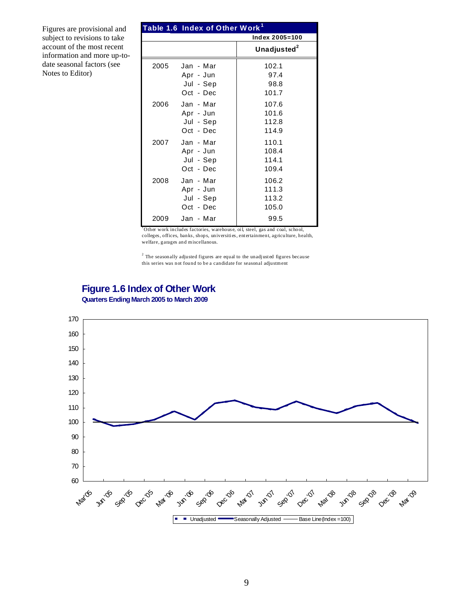Figures are provisional and subject to revisions to take account of the most recent information and more up-todate seasonal factors (see Notes to Editor)

|      | Table 1.6 Index of Other Work <sup>1</sup>       |                                  |
|------|--------------------------------------------------|----------------------------------|
|      |                                                  | Index 2005=100                   |
|      |                                                  | Unadjusted <sup>2</sup>          |
| 2005 | Jan - Mar<br>Apr - Jun<br>Jul - Sep<br>Oct - Dec | 102.1<br>97.4<br>98.8<br>101.7   |
| 2006 | Jan - Mar<br>Apr - Jun<br>Jul - Sep<br>Oct - Dec | 107.6<br>101.6<br>112.8<br>114.9 |
| 2007 | Jan - Mar<br>Apr - Jun<br>Jul - Sep<br>Oct - Dec | 110.1<br>108.4<br>114.1<br>109.4 |
| 2008 | Jan - Mar<br>Apr - Jun<br>Jul - Sep<br>Oct - Dec | 106.2<br>111.3<br>113.2<br>105.0 |
| 2009 | Jan - Mar                                        | 99.5                             |

<sup>1</sup>Other work includes factories, warehouse, oil, steel, gas and coal, school, colleges, offices, banks, shops, universities, entertainment, agriculture, health, welfare, garages and miscellanous.

 $2$  The seasonally adjusted figures are equal to the unadjusted figures because this series was not found to be a candidate for seasonal adjustment

#### **Figure 1.6 Index of Other Work Quarters EndingMarch 2005 to March 2009**

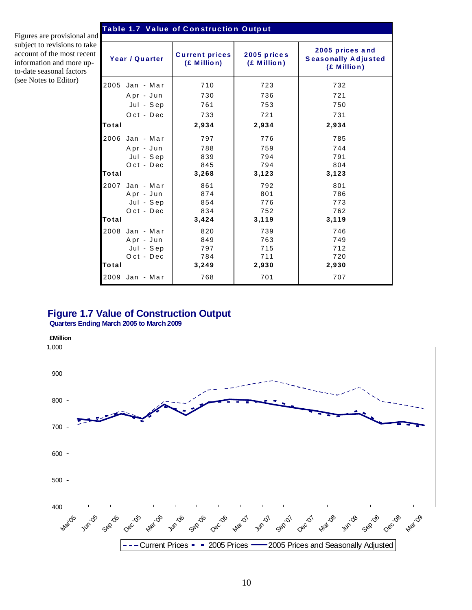#### **Ta ble 1.7 V a lue of C on struc tio n O utp ut**

Figures are provisional and subject to revisions to take account of the most recent information and more upto-date seasonal factors (see Notes to Editor)

| Year / Quarter |           | <b>Current prices</b><br>(£ Million) | 2005 prices<br>(£ Million) | 2005 prices and<br><b>Seasonally Adjusted</b><br>(£ Million) |
|----------------|-----------|--------------------------------------|----------------------------|--------------------------------------------------------------|
| 2005           | Jan - Mar | 710                                  | 723                        | 732                                                          |
|                | Apr - Jun | 730                                  | 736                        | 721                                                          |
|                | Jul - Sep | 761                                  | 753                        | 750                                                          |
|                | Oct - Dec | 733                                  | 721                        | 731                                                          |
| Total          |           | 2,934                                | 2,934                      | 2,934                                                        |
| 2006           | Jan - Mar | 797                                  | 776                        | 785                                                          |
|                | Apr - Jun | 788                                  | 759                        | 744                                                          |
|                | Jul - Sep | 839                                  | 794                        | 791                                                          |
|                | Oct - Dec | 845                                  | 794                        | 804                                                          |
| Total          |           | 3,268                                | 3,123                      | 3,123                                                        |
| 2007           | Jan - Mar | 861                                  | 792                        | 801                                                          |
|                | Apr - Jun | 874                                  | 801                        | 786                                                          |
|                | Jul - Sep | 854                                  | 776                        | 773                                                          |
|                | Oct - Dec | 834                                  | 752                        | 762                                                          |
| Total          |           | 3,424                                | 3,119                      | 3,119                                                        |
| 2008           | Jan - Mar | 820                                  | 739                        | 746                                                          |
|                | Apr - Jun | 849                                  | 763                        | 749                                                          |
|                | Jul - Sep | 797                                  | 715                        | 712                                                          |
|                | Oct - Dec | 784                                  | 711                        | 720                                                          |
| Total          |           | 3,249                                | 2,930                      | 2,930                                                        |
| 2009 Jan - Mar |           | 768                                  | 701                        | 707                                                          |

#### **Figure 1.7 Value of Construction Output**

**Quarters Ending March 2005 to March 2009**

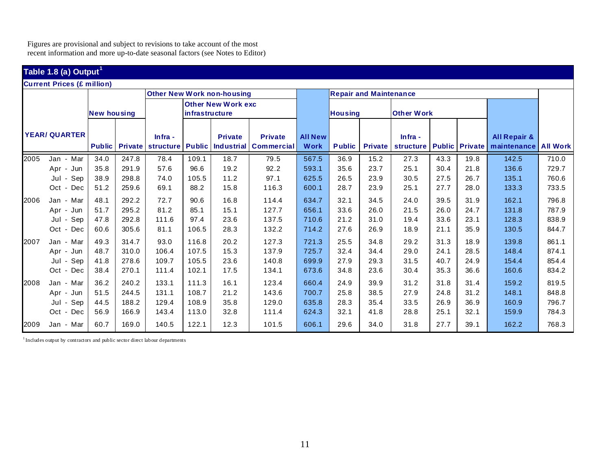Figures are provisional and subject to revisions to take account of the most recent information and more up-to-date seasonal factors (see Notes to Editor)

## **Table 1.8 (a) Output<sup>1</sup>**

**Current Prices (£ million)**

|      | <b>IGUITENT PRICES (£ MILIION)</b> |                    |       |         |                       |                                     |                   |                |                |                               |                   |      |                       |                         |                 |
|------|------------------------------------|--------------------|-------|---------|-----------------------|-------------------------------------|-------------------|----------------|----------------|-------------------------------|-------------------|------|-----------------------|-------------------------|-----------------|
|      |                                    |                    |       |         |                       | <b>Other New Work non-housing</b>   |                   |                |                | <b>Repair and Maintenance</b> |                   |      |                       |                         |                 |
|      |                                    |                    |       |         |                       | <b>Other New Work exc</b>           |                   |                |                |                               |                   |      |                       |                         |                 |
|      |                                    | <b>New housing</b> |       |         | <i>infrastructure</i> |                                     |                   |                | <b>Housing</b> |                               | <b>Other Work</b> |      |                       |                         |                 |
|      |                                    |                    |       |         |                       |                                     |                   |                |                |                               |                   |      |                       |                         |                 |
|      | <b>YEAR/QUARTER</b>                |                    |       | Infra - |                       | <b>Private</b>                      | <b>Private</b>    | <b>All New</b> |                |                               | $lnfra -$         |      |                       | <b>All Repair &amp;</b> |                 |
|      |                                    | <b>Public</b>      |       |         |                       | Private structure Public Industrial | <b>Commercial</b> | <b>Work</b>    | <b>Public</b>  | <b>Private</b>                | <b>structure</b>  |      | <b>Public Private</b> | maintenance             | <b>All Work</b> |
| 2005 | Mar<br>Jan -                       | 34.0               | 247.8 | 78.4    | 109.1                 | 18.7                                | 79.5              | 567.5          | 36.9           | 15.2                          | 27.3              | 43.3 | 19.8                  | 142.5                   | 710.0           |
|      | Apr -<br>Jun                       | 35.8               | 291.9 | 57.6    | 96.6                  | 19.2                                | 92.2              | 593.1          | 35.6           | 23.7                          | 25.1              | 30.4 | 21.8                  | 136.6                   | 729.7           |
|      | Sep<br>Jul -                       | 38.9               | 298.8 | 74.0    | 105.5                 | 11.2                                | 97.1              | 625.5          | 26.5           | 23.9                          | 30.5              | 27.5 | 26.7                  | 135.1                   | 760.6           |
|      | Oct - Dec                          | 51.2               | 259.6 | 69.1    | 88.2                  | 15.8                                | 116.3             | 600.1          | 28.7           | 23.9                          | 25.1              | 27.7 | 28.0                  | 133.3                   | 733.5           |
| 2006 | Jan - Mar                          | 48.1               | 292.2 | 72.7    | 90.6                  | 16.8                                | 114.4             | 634.7          | 32.1           | 34.5                          | 24.0              | 39.5 | 31.9                  | 162.1                   | 796.8           |
|      | Apr - Jun                          | 51.7               | 295.2 | 81.2    | 85.1                  | 15.1                                | 127.7             | 656.1          | 33.6           | 26.0                          | 21.5              | 26.0 | 24.7                  | 131.8                   | 787.9           |
|      | Sep<br>Jul -                       | 47.8               | 292.8 | 111.6   | 97.4                  | 23.6                                | 137.5             | 710.6          | 21.2           | 31.0                          | 19.4              | 33.6 | 23.1                  | 128.3                   | 838.9           |
|      | Oct - Dec                          | 60.6               | 305.6 | 81.1    | 106.5                 | 28.3                                | 132.2             | 714.2          | 27.6           | 26.9                          | 18.9              | 21.1 | 35.9                  | 130.5                   | 844.7           |
| 2007 | Jan - Mar                          | 49.3               | 314.7 | 93.0    | 116.8                 | 20.2                                | 127.3             | 721.3          | 25.5           | 34.8                          | 29.2              | 31.3 | 18.9                  | 139.8                   | 861.1           |
|      | Apr -<br>Jun                       | 48.7               | 310.0 | 106.4   | 107.5                 | 15.3                                | 137.9             | 725.7          | 32.4           | 34.4                          | 29.0              | 24.1 | 28.5                  | 148.4                   | 874.1           |
|      | Jul - Sep                          | 41.8               | 278.6 | 109.7   | 105.5                 | 23.6                                | 140.8             | 699.9          | 27.9           | 29.3                          | 31.5              | 40.7 | 24.9                  | 154.4                   | 854.4           |
|      | Oct - Dec                          | 38.4               | 270.1 | 111.4   | 102.1                 | 17.5                                | 134.1             | 673.6          | 34.8           | 23.6                          | 30.4              | 35.3 | 36.6                  | 160.6                   | 834.2           |
| 2008 | Jan - Mar                          | 36.2               | 240.2 | 133.1   | 111.3                 | 16.1                                | 123.4             | 660.4          | 24.9           | 39.9                          | 31.2              | 31.8 | 31.4                  | 159.2                   | 819.5           |
|      | Jun<br>Apr -                       | 51.5               | 244.5 | 131.1   | 108.7                 | 21.2                                | 143.6             | 700.7          | 25.8           | 38.5                          | 27.9              | 24.8 | 31.2                  | 148.1                   | 848.8           |
|      | Sep<br>Jul                         | 44.5               | 188.2 | 129.4   | 108.9                 | 35.8                                | 129.0             | 635.8          | 28.3           | 35.4                          | 33.5              | 26.9 | 36.9                  | 160.9                   | 796.7           |
|      | Oct - Dec                          | 56.9               | 166.9 | 143.4   | 113.0                 | 32.8                                | 111.4             | 624.3          | 32.1           | 41.8                          | 28.8              | 25.1 | 32.1                  | 159.9                   | 784.3           |
| 2009 | Jan - Mar                          | 60.7               | 169.0 | 140.5   | 122.1                 | 12.3                                | 101.5             | 606.1          | 29.6           | 34.0                          | 31.8              | 27.7 | 39.1                  | 162.2                   | 768.3           |

<sup>1</sup> Includes output by contractors and public sector direct labour departments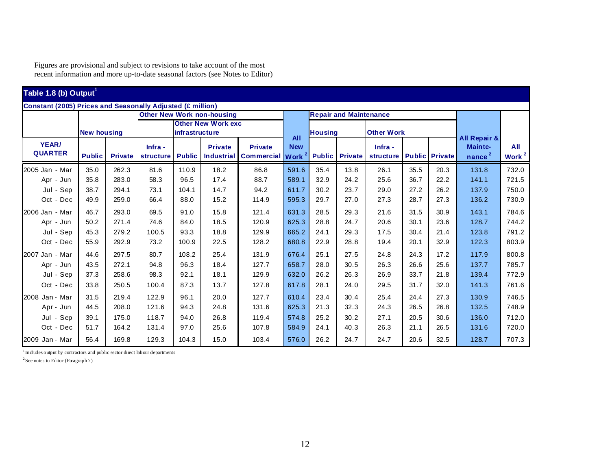Figures are provisional and subject to revisions to take account of the most recent information and more up-to-date seasonal factors (see Notes to Editor)

| Table 1.8 (b) Output <sup>1</sup>                                 |                    |                |                             |                |                                     |                                     |                           |                |                               |                      |      |                       |                               |                          |
|-------------------------------------------------------------------|--------------------|----------------|-----------------------------|----------------|-------------------------------------|-------------------------------------|---------------------------|----------------|-------------------------------|----------------------|------|-----------------------|-------------------------------|--------------------------|
| <b>Constant (2005) Prices and Seasonally Adjusted (£ million)</b> |                    |                |                             |                |                                     |                                     |                           |                |                               |                      |      |                       |                               |                          |
|                                                                   |                    |                |                             |                | <b>Other New Work non-housing</b>   |                                     |                           |                | <b>Repair and Maintenance</b> |                      |      |                       |                               |                          |
|                                                                   | <b>New housing</b> |                |                             | infrastructure | <b>Other New Work exc</b>           |                                     | <b>All</b>                | <b>Housing</b> |                               | <b>Other Work</b>    |      |                       | All Repair &                  |                          |
| YEAR/<br><b>QUARTER</b>                                           | <b>Public</b>      | <b>Private</b> | Infra -<br><b>structure</b> | <b>Public</b>  | <b>Private</b><br><b>Industrial</b> | <b>Private</b><br><b>Commercial</b> | <b>New</b><br><b>Work</b> | <b>Public</b>  | <b>Private</b>                | Infra -<br>structure |      | <b>Public</b> Private | Mainte-<br>nance <sup>2</sup> | All<br>Work <sup>2</sup> |
| 2005 Jan - Mar                                                    | 35.0               | 262.3          | 81.6                        | 110.9          | 18.2                                | 86.8                                | 591.6                     | 35.4           | 13.8                          | 26.1                 | 35.5 | 20.3                  | 131.8                         | 732.0                    |
| Apr - Jun                                                         | 35.8               | 283.0          | 58.3                        | 96.5           | 17.4                                | 88.7                                | 589.1                     | 32.9           | 24.2                          | 25.6                 | 36.7 | 22.2                  | 141.1                         | 721.5                    |
| Jul - Sep                                                         | 38.7               | 294.1          | 73.1                        | 104.1          | 14.7                                | 94.2                                | 611.7                     | 30.2           | 23.7                          | 29.0                 | 27.2 | 26.2                  | 137.9                         | 750.0                    |
| Oct - Dec                                                         | 49.9               | 259.0          | 66.4                        | 88.0           | 15.2                                | 114.9                               | 595.3                     | 29.7           | 27.0                          | 27.3                 | 28.7 | 27.3                  | 136.2                         | 730.9                    |
| 2006 Jan - Mar                                                    | 46.7               | 293.0          | 69.5                        | 91.0           | 15.8                                | 121.4                               | 631.3                     | 28.5           | 29.3                          | 21.6                 | 31.5 | 30.9                  | 143.1                         | 784.6                    |
| Apr - Jun                                                         | 50.2               | 271.4          | 74.6                        | 84.0           | 18.5                                | 120.9                               | 625.3                     | 28.8           | 24.7                          | 20.6                 | 30.1 | 23.6                  | 128.7                         | 744.2                    |
| Jul - Sep                                                         | 45.3               | 279.2          | 100.5                       | 93.3           | 18.8                                | 129.9                               | 665.2                     | 24.1           | 29.3                          | 17.5                 | 30.4 | 21.4                  | 123.8                         | 791.2                    |
| Oct - Dec                                                         | 55.9               | 292.9          | 73.2                        | 100.9          | 22.5                                | 128.2                               | 680.8                     | 22.9           | 28.8                          | 19.4                 | 20.1 | 32.9                  | 122.3                         | 803.9                    |
| 2007 Jan - Mar                                                    | 44.6               | 297.5          | 80.7                        | 108.2          | 25.4                                | 131.9                               | 676.4                     | 25.1           | 27.5                          | 24.8                 | 24.3 | 17.2                  | 117.9                         | 800.8                    |
| Apr - Jun                                                         | 43.5               | 272.1          | 94.8                        | 96.3           | 18.4                                | 127.7                               | 658.7                     | 28.0           | 30.5                          | 26.3                 | 26.6 | 25.6                  | 137.7                         | 785.7                    |
| Jul - Sep                                                         | 37.3               | 258.6          | 98.3                        | 92.1           | 18.1                                | 129.9                               | 632.0                     | 26.2           | 26.3                          | 26.9                 | 33.7 | 21.8                  | 139.4                         | 772.9                    |
| Oct - Dec                                                         | 33.8               | 250.5          | 100.4                       | 87.3           | 13.7                                | 127.8                               | 617.8                     | 28.1           | 24.0                          | 29.5                 | 31.7 | 32.0                  | 141.3                         | 761.6                    |
| 2008 Jan - Mar                                                    | 31.5               | 219.4          | 122.9                       | 96.1           | 20.0                                | 127.7                               | 610.4                     | 23.4           | 30.4                          | 25.4                 | 24.4 | 27.3                  | 130.9                         | 746.5                    |
| Apr - Jun                                                         | 44.5               | 208.0          | 121.6                       | 94.3           | 24.8                                | 131.6                               | 625.3                     | 21.3           | 32.3                          | 24.3                 | 26.5 | 26.8                  | 132.5                         | 748.9                    |
| Jul - Sep                                                         | 39.1               | 175.0          | 118.7                       | 94.0           | 26.8                                | 119.4                               | 574.8                     | 25.2           | 30.2                          | 27.1                 | 20.5 | 30.6                  | 136.0                         | 712.0                    |
| Oct - Dec                                                         | 51.7               | 164.2          | 131.4                       | 97.0           | 25.6                                | 107.8                               | 584.9                     | 24.1           | 40.3                          | 26.3                 | 21.1 | 26.5                  | 131.6                         | 720.0                    |
| 2009 Jan - Mar                                                    | 56.4               | 169.8          | 129.3                       | 104.3          | 15.0                                | 103.4                               | 576.0                     | 26.2           | 24.7                          | 24.7                 | 20.6 | 32.5                  | 128.7                         | 707.3                    |

<sup>1</sup> Includes output by contractors and public sector direct labour departments

<sup>2</sup> See notes to Editor (Paragraph 7)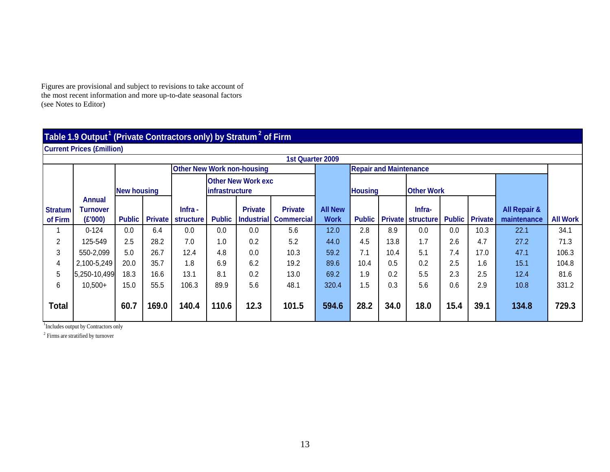Figures are provisional and subject to revisions to take account of the most recent information and more up-to-date seasonal factors (see Notes to Editor)

#### **Table 1.9 Output<sup>1</sup> (Private Contractors only) by Stratum <sup>2</sup> of Firm**

**Current Prices (£million)**

|                |                           |                    |       |                                   |                        |                           | <b>1st Quarter 2009</b>      |                |                               |      |                          |      |                       |                         |                 |
|----------------|---------------------------|--------------------|-------|-----------------------------------|------------------------|---------------------------|------------------------------|----------------|-------------------------------|------|--------------------------|------|-----------------------|-------------------------|-----------------|
|                |                           |                    |       | <b>Other New Work non-housing</b> |                        |                           |                              |                | <b>Repair and Maintenance</b> |      |                          |      |                       |                         |                 |
|                |                           | <b>New housing</b> |       |                                   | <b>linfrastructure</b> | <b>Other New Work exc</b> |                              |                | <b>Housing</b>                |      | <b>Other Work</b>        |      |                       |                         |                 |
| <b>Stratum</b> | Annual<br><b>Turnover</b> |                    |       | $lnfra -$                         |                        | <b>Private</b>            | <b>Private</b>               | <b>All New</b> |                               |      | Infra-                   |      |                       | <b>All Repair &amp;</b> |                 |
| of Firm        | (E'000)                   | <b>Public</b>      |       | <b>Private structure</b>          | <b>Public</b>          |                           | <b>Industrial Commercial</b> | <b>Work</b>    | <b>Public</b>                 |      | <b>Private structure</b> |      | <b>Public</b> Private | maintenance             | <b>All Work</b> |
|                | $0 - 124$                 | 0.0                | 6.4   | 0.0                               | 0.0                    | 0.0                       | 5.6                          | 12.0           | 2.8                           | 8.9  | 0.0                      | 0.0  | 10.3                  | 22.1                    | 34.1            |
|                |                           |                    |       |                                   |                        |                           |                              |                |                               |      |                          |      |                       |                         |                 |
| $\overline{c}$ | 125-549                   | 2.5                | 28.2  | 7.0                               | 1.0                    | 0.2                       | 5.2                          | 44.0           | 4.5                           | 13.8 | 1.7                      | 2.6  | 4.7                   | 27.2                    | 71.3            |
| 3              | 550-2,099                 | 5.0                | 26.7  | 12.4                              | 4.8                    | 0.0                       | 10.3                         | 59.2           | 7.1                           | 10.4 | 5.1                      | 7.4  | 17.0                  | 47.1                    | 106.3           |
| 4              | 2,100-5,249               | 20.0               | 35.7  | 1.8                               | 6.9                    | 6.2                       | 19.2                         | 89.6           | 10.4                          | 0.5  | 0.2                      | 2.5  | 1.6                   | 15.1                    | 104.8           |
| 5              | 5,250-10,499              | 18.3               | 16.6  | 13.1                              | 8.1                    | 0.2                       | 13.0                         | 69.2           | 1.9                           | 0.2  | 5.5                      | 2.3  | 2.5                   | 12.4                    | 81.6            |
| 6              | $10,500+$                 | 15.0               | 55.5  | 106.3                             | 89.9                   | 5.6                       | 48.1                         | 320.4          | 1.5                           | 0.3  | 5.6                      | 0.6  | 2.9                   | 10.8                    | 331.2           |
| <b>Total</b>   |                           | 60.7               | 169.0 | 140.4                             | 110.6                  | 12.3                      | 101.5                        | 594.6          | 28.2                          | 34.0 | 18.0                     | 15.4 | 39.1                  | 134.8                   | 729.3           |

1 Includes output by Contractors only

<sup>2</sup> Firms are stratified by turnover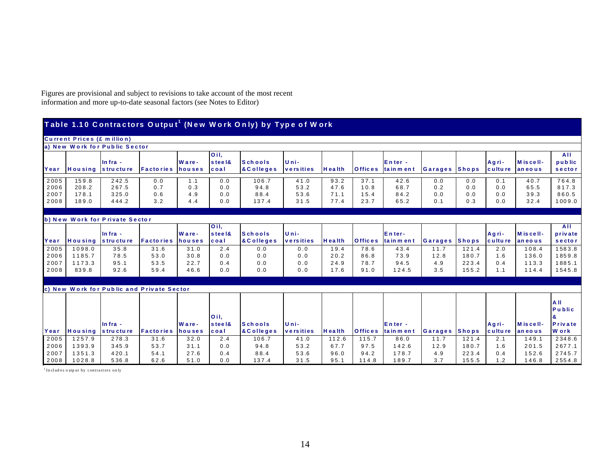Figures are provisional and subject to revisions to take account of the most recent information and more up-to-date seasonal factors (see Notes to Editor)

|                              | <b>Current Prices (£ million)</b> |                                  |                                           |                          |                                        |                                |                                           |                              |                              |                              |                          |                          |                          |                              |                                                 |
|------------------------------|-----------------------------------|----------------------------------|-------------------------------------------|--------------------------|----------------------------------------|--------------------------------|-------------------------------------------|------------------------------|------------------------------|------------------------------|--------------------------|--------------------------|--------------------------|------------------------------|-------------------------------------------------|
|                              |                                   | a) New Work for Public Sector    |                                           |                          |                                        |                                |                                           |                              |                              |                              |                          |                          |                          |                              |                                                 |
| Year                         | Housing structure                 | $ln fra -$                       | <b>Factories</b> houses                   | Ware-                    | O <sub>il.</sub><br>steel&<br>$cc$ oal | <b>Schools</b><br>& C olleges  | Uni-<br>versities                         | H ealth                      | <b>Offices</b>               | Enter-<br>tain ment          | Garages Shops            |                          | Agri-<br>culture         | Miscell-<br>aneous           | AII<br>public<br>sector                         |
| 2005<br>2006<br>2007<br>2008 | 159.8<br>208.2<br>178.1<br>189.0  | 242.5<br>267.5<br>325.0<br>444.2 | 0.0<br>0.7<br>0.6<br>3.2                  | 1.1<br>0.3<br>4.9<br>4.4 | 0.0<br>0.0<br>0.0<br>0.0               | 106.7<br>94.8<br>88.4<br>137.4 | $\overline{41}$ 0<br>53.2<br>53.6<br>31.5 | 93.2<br>47.6<br>71.1<br>77.4 | 37.1<br>10.8<br>15.4<br>23.7 | 42.6<br>68.7<br>84.2<br>65.2 | 0.0<br>0.2<br>0.0<br>0.1 | 0.0<br>0.0<br>0.0<br>0.3 | 0.1<br>0.0<br>0.0<br>0.0 | 40.7<br>65.5<br>39.3<br>32.4 | 764.8<br>817.3<br>860.5<br>1009.0               |
|                              |                                   | b) New Work for Private Sector   |                                           |                          |                                        |                                |                                           |                              |                              |                              |                          |                          |                          |                              |                                                 |
| Year                         | Housing                           | In fra -<br>structure            | <b>Factories</b>                          | Ware-<br>houses          | Oil,<br>steel&<br>coal                 | <b>Schools</b><br>& C olleges  | Uni-<br>versities                         | <b>H</b> ealth               | <b>Offices</b>               | Enter-<br>tainment           | Garages                  | <b>Shops</b>             | Agri-<br>culture         | Miscell-<br>an eo us         | AII<br>private<br>sector                        |
| 2005                         | 1098.0                            | 35.8                             | 31.6                                      | 31.0                     | 2.4                                    | 0.0                            | 0.0                                       | 19.4                         | 78.6                         | 43.4                         | 11.7                     | 121.4                    | 2.0                      | 108.4                        | 1583.8                                          |
| 2006<br>2007<br>2008         | 1185.7<br>1173.3<br>839.8         | 78.5<br>95.1<br>92.6             | 53.0<br>53.5<br>59.4                      | 30.8<br>22.7<br>46.6     | 0.0<br>0.4<br>0.0                      | 0.0<br>0.0<br>0.0              | 0.0<br>0.0<br>0.0                         | 20.2<br>24.9<br>17.6         | 86.8<br>78.7<br>91.0         | 73.9<br>94.5<br>124.5        | 12.8<br>4.9<br>3.5       | 180.7<br>223.4<br>155.2  | 1.6<br>0.4<br>1.1        | 136.0<br>113.3<br>114.4      | 1859.8<br>1885.1<br>1545.8                      |
|                              |                                   |                                  | c) New Work for Public and Private Sector |                          |                                        |                                |                                           |                              |                              |                              |                          |                          |                          |                              |                                                 |
| Year                         |                                   | In fra -<br>Housing structure    | <b>Factories</b>                          | Ware-                    | Oil.<br>steel&<br>coal                 | <b>Schools</b><br>& C olleges  | Uni-<br>versities                         | <b>Health</b>                | <b>Offices</b>               | Enter-<br>tainment           | Garages Shops            |                          | Agri-<br>culture         | Miscell-                     | $A$ II<br>Public<br>&<br>Private<br><b>Work</b> |
| 2005                         | 1257.9                            | 278.3                            | 31.6                                      | houses<br>32.0           | 2.4                                    | 106.7                          | 41.0                                      | 112.6                        | 115.7                        | 86.0                         | 11.7                     | 121.4                    | 2.1                      | aneous<br>149.1              | 2348.6                                          |
| 2006<br>2007<br>2008         | 1393.9<br>1351.3<br>1028.8        | 345.9<br>420.1<br>536.8          | 53.7<br>54.1<br>62.6                      | 31.1<br>27.6<br>51.0     | 0.0<br>0.4<br>0.0                      | 94.8<br>88.4<br>137.4          | 53.2<br>53.6<br>31.5                      | 67.7<br>96.0<br>95.1         | 97.5<br>94.2<br>114.8        | 142.6<br>178.7<br>189.7      | 12.9<br>4.9<br>3.7       | 180.7<br>223.4<br>155.5  | 1.6<br>0.4<br>1.2        | 201.5<br>152.6<br>146.8      | 2677.1<br>2745.7<br>2554.8                      |

<sup>1</sup> In cludes output by contractors on ly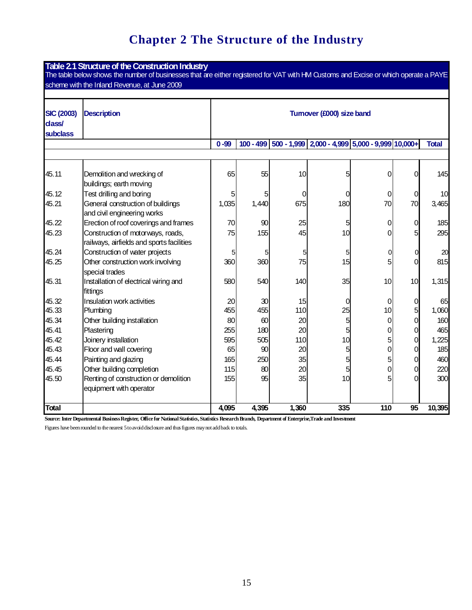# **Chapter 2 The Structure of the Industry**

| Table 2.1 Structure of the Construction Industry<br>The table below shows the number of businesses that are either registered for VAT with HM Qustoms and Excise or which operate a PAYE |                                                                                |                           |             |       |                                                     |          |                 |              |  |
|------------------------------------------------------------------------------------------------------------------------------------------------------------------------------------------|--------------------------------------------------------------------------------|---------------------------|-------------|-------|-----------------------------------------------------|----------|-----------------|--------------|--|
|                                                                                                                                                                                          | scheme with the Inland Revenue, at June 2009                                   |                           |             |       |                                                     |          |                 |              |  |
| <b>SIC (2003)</b><br>dass/<br><b>subclass</b>                                                                                                                                            | <b>Description</b>                                                             | Turnover (£000) size band |             |       |                                                     |          |                 |              |  |
|                                                                                                                                                                                          |                                                                                | $0 - 99$                  | $100 - 499$ |       | $ 500 - 1,999 $ 2,000 - 4,999 5,000 - 9,999 10,000+ |          |                 | <b>Total</b> |  |
|                                                                                                                                                                                          |                                                                                |                           |             |       |                                                     |          |                 |              |  |
| 45.11                                                                                                                                                                                    | Demolition and wrecking of<br>buildings; earth moving                          | 65                        | 55          | 10    | 5                                                   | 0        | 0               | 145          |  |
| 45.12                                                                                                                                                                                    | Test drilling and boring                                                       | 5                         | 5           | 0     | 0                                                   | 0        | 0               | 10           |  |
| 45.21                                                                                                                                                                                    | General construction of buildings<br>and civil engineering works               | 1,035                     | 1,440       | 675   | 180                                                 | 70       | 70              | 3,465        |  |
| 45.22                                                                                                                                                                                    | Erection of roof coverings and frames                                          | 70                        | 90          | 25    | 5                                                   | 0        | 0               | 185          |  |
| 45.23                                                                                                                                                                                    | Construction of motorways, roads,<br>railways, airfields and sports facilities | 75                        | 155         | 45    | 10                                                  | 0        | 5               | 295          |  |
| 45.24                                                                                                                                                                                    | Construction of water projects                                                 | 5                         | 5           |       | 5                                                   | $\Omega$ | 0               | 20           |  |
| 45.25                                                                                                                                                                                    | Other construction work involving<br>special trades                            | 360                       | 360         | 75    | 15                                                  | 5        | 0               | 815          |  |
| 45.31                                                                                                                                                                                    | Installation of electrical wiring and<br>fittings                              | 580                       | 540         | 140   | 35                                                  | 10       | 10              | 1,315        |  |
| 45.32                                                                                                                                                                                    | Insulation work activities                                                     | 20                        | 30          | 15    | $\Omega$                                            | $\Omega$ | 0               | 65           |  |
| 45.33                                                                                                                                                                                    | Plumbing                                                                       | 455                       | 455         | 110   | 25                                                  | 10       | 5               | 1,060        |  |
| 45.34                                                                                                                                                                                    | Other building installation                                                    | 80                        | 60          | 20    | 5                                                   | 0        | 0               | 160          |  |
| 45.41                                                                                                                                                                                    | Plastering                                                                     | 255                       | 180         | 20    | 5                                                   | 0        | 0               | 465          |  |
| 45.42                                                                                                                                                                                    | Joinery installation                                                           | 595                       | 505         | 110   | 10                                                  | 5        | 0               | 1,225        |  |
| 45.43                                                                                                                                                                                    | Floor and wall covering                                                        | 65                        | 90          | 20    | 5                                                   | 0        | 0               | 185          |  |
| 45.44                                                                                                                                                                                    | Painting and glazing                                                           | 165                       | 250         | 35    | 5                                                   | 5        | 0               | 460          |  |
| 45.45                                                                                                                                                                                    | Other building completion                                                      | 115                       | 80<br>95    | 20    | 5<br>10                                             | 0        | 0               | 220          |  |
| 45.50                                                                                                                                                                                    | Renting of construction or demolition<br>equipment with operator               | 155                       |             | 35    |                                                     | 5        | 0               | 300          |  |
| <b>Total</b>                                                                                                                                                                             |                                                                                | 4,095                     | 4,395       | 1,360 | 335                                                 | 110      | $\overline{95}$ | 10,395       |  |

**Source: Inter Departmental BusinessRegister, Office for NationalStatistics, Statistics ResearchBranch, Department of Enterprise,Trade andInvestment**

Figures have been rounded to the nearest 5 to avoid disclosure and thus figures may not add back to totals.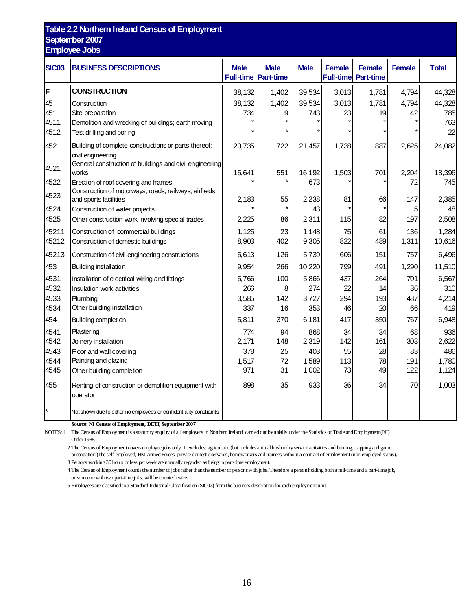#### **Table 2.2 Northern Ireland Census of Employment September 2007 Employee Jobs**

| <b>SIC03</b> | <b>BUSINESS DESCRIPTIONS</b>                                        | <b>Male</b> | <b>Male</b><br><b>Full-time Part-time</b> | <b>Male</b>   | <b>Female</b> | <b>Female</b><br><b>Full-time</b> Part-time | <b>Female</b> | <b>Total</b>  |
|--------------|---------------------------------------------------------------------|-------------|-------------------------------------------|---------------|---------------|---------------------------------------------|---------------|---------------|
| F            | <b>CONSTRUCTION</b>                                                 | 38,132      | 1,402                                     | 39,534        | 3,013         | 1,781                                       | 4,794         | 44,328        |
| 45           | Construction                                                        | 38,132      | 1,402                                     | 39,534        | 3,013         | 1,781                                       | 4,794         | 44,328        |
| 451          | Site preparation                                                    | 734         |                                           | 743           | 23            | 19                                          | 42            | 785           |
| 4511         | Demolition and wrecking of buildings; earth moving                  |             |                                           |               |               |                                             |               | 763           |
| 4512         | Test drilling and boring                                            |             |                                           |               |               |                                             |               | 22            |
| 452          | Building of complete constructions or parts thereof;                | 20,735      | 722                                       | 21,457        | 1,738         | 887                                         | 2,625         | 24,082        |
|              | civil engineering                                                   |             |                                           |               |               |                                             |               |               |
| 4521         | General construction of buildings and civil engineering<br>works    | 15,641      |                                           |               |               |                                             |               |               |
| 4522         | Erection of roof covering and frames                                |             | 551                                       | 16,192<br>673 | 1,503         | 701                                         | 2,204<br>72   | 18,396<br>745 |
|              | Construction of motorways, roads, railways, airfields               |             |                                           |               |               |                                             |               |               |
| 4523         | and sports facilities                                               | 2,183       | 55                                        | 2,238         | 81            | 66                                          | 147           | 2,385         |
| 4524         | Construction of water projects                                      |             |                                           | 43            |               |                                             | 5             | 48            |
| 4525         | Other construction work involving special trades                    | 2,225       | 86                                        | 2,311         | 115           | 82                                          | 197           | 2,508         |
| 45211        | Construction of commercial buildings                                | 1,125       | 23                                        | 1,148         | 75            | 61                                          | 136           | 1,284         |
| 45212        | Construction of domestic buildings                                  | 8,903       | 402                                       | 9,305         | 822           | 489                                         | 1,311         | 10,616        |
| 45213        | Construction of civil engineering constructions                     | 5,613       | 126                                       | 5,739         | 606           | 151                                         | 757           | 6,496         |
| 453          | Building installation                                               | 9,954       | 266                                       | 10,220        | 799           | 491                                         | 1,290         | 11,510        |
| 4531         | Installation of electrical wiring and fittings                      | 5,766       | 100                                       | 5,866         | 437           | 264                                         | 701           | 6,567         |
| 4532         | Insulation work activities                                          | 266         | 8                                         | 274           | 22            | 14                                          | 36            | 310           |
| 4533         | Plumbing                                                            | 3,585       | 142                                       | 3,727         | 294           | 193                                         | 487           | 4,214         |
| 4534         | Other building installation                                         | 337         | 16                                        | 353           | 46            | 20                                          | 66            | 419           |
| 454          | Building completion                                                 | 5,811       | 370                                       | 6,181         | 417           | 350                                         | 767           | 6,948         |
| 4541         | Plastering                                                          | 774         | 94                                        | 868           | 34            | 34                                          | 68            | 936           |
| 4542         | Joinery installation                                                | 2,171       | 148                                       | 2,319         | 142           | 161                                         | 303           | 2,622         |
| 4543         | Floor and wall covering                                             | 378         | 25                                        | 403           | 55            | 28                                          | 83            | 486           |
| 4544         | Painting and glazing                                                | 1,517       | 72                                        | 1,589         | 113           | 78                                          | 191           | 1,780         |
| 4545         | Other building completion                                           | 971         | 31                                        | 1,002         | 73            | 49                                          | 122           | 1,124         |
| 455          | Renting of construction or demolition equipment with                | 898         | 35                                        | 933           | 36            | 34                                          | 70            | 1,003         |
|              | operator                                                            |             |                                           |               |               |                                             |               |               |
|              | Not shown due to either no employees or confidentiality constraints |             |                                           |               |               |                                             |               |               |

**Source: NI Census of Employment, DETI, September 2007**

NOTES: 1 The Census of Employment is a statutoryenquiry of all employers in Northern Ireland, carriedout biennially under the Statistics of Trade andEmployment(NI) Order 1988.

The Census of Employment covers employee jobs only. It excludes: agriculture (but includes animalhusbandryservice activities and hunting, trappingand game

propagation) the self-employed, HM Armed Forces, private domestic servants, homeworkers and trainees without a contract of employment (non-employed status). Persons working30hours or less per week are normally regarded asbeing in part-time employment.

 The Census of Employment counts the number of jobsrather thanthe number of personswith jobs. Therefore a personholdingbotha full-time and a part-time job, or someone with two part-time jobs, will be countedtwice.

Employeesare classifiedtoa Standard Industrial Classification (SIC03) from the business descriptionfor each employmentunit.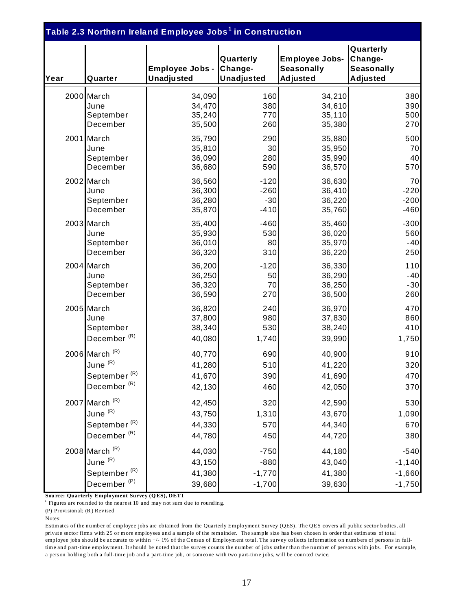| Table 2.3 Northern Ireland Employee Jobs <sup>1</sup> in Construction |                                   |                                      |                                           |                                                        |                                                       |  |  |  |  |
|-----------------------------------------------------------------------|-----------------------------------|--------------------------------------|-------------------------------------------|--------------------------------------------------------|-------------------------------------------------------|--|--|--|--|
| Year                                                                  | Quarter                           | Employee Jobs -<br><b>Unadjusted</b> | Quarterly<br>Change-<br><b>Unadjusted</b> | Employee Jobs-<br><b>Seasonally</b><br><b>Adjusted</b> | Quarterly<br>Change-<br>Seasonally<br><b>Adjusted</b> |  |  |  |  |
|                                                                       | 2000 March                        | 34,090                               | 160                                       | 34,210                                                 | 380                                                   |  |  |  |  |
|                                                                       | June                              | 34,470                               | 380                                       | 34,610                                                 | 390                                                   |  |  |  |  |
|                                                                       | September                         | 35,240                               | 770                                       | 35, 110                                                | 500                                                   |  |  |  |  |
|                                                                       | December                          | 35,500                               | 260                                       | 35,380                                                 | 270                                                   |  |  |  |  |
|                                                                       | 2001 March                        | 35,790                               | 290                                       | 35,880                                                 | 500                                                   |  |  |  |  |
|                                                                       | June                              | 35,810                               | 30                                        | 35,950                                                 | 70                                                    |  |  |  |  |
|                                                                       | September                         | 36,090                               | 280                                       | 35,990                                                 | 40                                                    |  |  |  |  |
|                                                                       | December                          | 36,680                               | 590                                       | 36,570                                                 | 570                                                   |  |  |  |  |
|                                                                       | 2002 March                        | 36,560                               | $-120$                                    | 36,630                                                 | 70                                                    |  |  |  |  |
|                                                                       | June                              | 36,300                               | $-260$                                    | 36,410                                                 | $-220$                                                |  |  |  |  |
|                                                                       | September                         | 36,280                               | $-30$                                     | 36,220                                                 | $-200$                                                |  |  |  |  |
|                                                                       | December                          | 35,870                               | $-410$                                    | 35,760                                                 | $-460$                                                |  |  |  |  |
|                                                                       | 2003 March                        | 35,400                               | $-460$                                    | 35,460                                                 | $-300$                                                |  |  |  |  |
|                                                                       | June                              | 35,930                               | 530                                       | 36,020                                                 | 560                                                   |  |  |  |  |
|                                                                       | September                         | 36,010                               | 80                                        | 35,970                                                 | $-40$                                                 |  |  |  |  |
|                                                                       | December                          | 36,320                               | 310                                       | 36,220                                                 | 250                                                   |  |  |  |  |
|                                                                       | 2004 March                        | 36,200                               | $-120$                                    | 36,330                                                 | 110                                                   |  |  |  |  |
|                                                                       | June                              | 36,250                               | 50                                        | 36,290                                                 | $-40$                                                 |  |  |  |  |
|                                                                       | September                         | 36,320                               | 70                                        | 36,250                                                 | $-30$                                                 |  |  |  |  |
|                                                                       | December                          | 36,590                               | 270                                       | 36,500                                                 | 260                                                   |  |  |  |  |
|                                                                       | 2005 March                        | 36,820                               | 240                                       | 36,970                                                 | 470                                                   |  |  |  |  |
|                                                                       | June                              | 37,800                               | 980                                       | 37,830                                                 | 860                                                   |  |  |  |  |
|                                                                       | September                         | 38,340                               | 530                                       | 38,240                                                 | 410                                                   |  |  |  |  |
|                                                                       | December <sup>(R)</sup>           | 40,080                               | 1,740                                     | 39,990                                                 | 1,750                                                 |  |  |  |  |
|                                                                       | 2006 March $(R)$                  | 40,770                               | 690                                       | 40,900                                                 | 910                                                   |  |  |  |  |
|                                                                       | June $^{\left(\mathrm{R}\right)}$ | 41,280                               | 510                                       | 41,220                                                 | 320                                                   |  |  |  |  |
|                                                                       | September $(R)$                   | 41,670                               | 390                                       | 41,690                                                 | 470                                                   |  |  |  |  |
|                                                                       | December <sup>(R)</sup>           | 42,130                               | 460                                       | 42,050                                                 | 370                                                   |  |  |  |  |
|                                                                       | 2007 March $(R)$                  | 42,450                               | 320                                       | 42,590                                                 | 530                                                   |  |  |  |  |
|                                                                       | June $(R)$                        | 43,750                               | 1,310                                     | 43,670                                                 | 1,090                                                 |  |  |  |  |
|                                                                       | September <sup>(R)</sup>          | 44,330                               | 570                                       | 44,340                                                 | 670                                                   |  |  |  |  |
|                                                                       | December <sup>(R)</sup>           | 44,780                               | 450                                       | 44,720                                                 | 380                                                   |  |  |  |  |
|                                                                       | 2008 March $(R)$                  | 44,030                               | $-750$                                    | 44,180                                                 | $-540$                                                |  |  |  |  |
|                                                                       | June <sup>(R)</sup>               | 43,150                               | $-880$                                    | 43,040                                                 | $-1,140$                                              |  |  |  |  |
|                                                                       | September <sup>(R)</sup>          | 41,380                               | $-1,770$                                  | 41,380                                                 | $-1,660$                                              |  |  |  |  |
|                                                                       | December <sup>(P)</sup>           | 39,680                               | $-1,700$                                  | 39,630                                                 | $-1,750$                                              |  |  |  |  |

**Sou rce: Quarterly Employment Survey (Q ES), DET I**

<sup>1</sup> Figures are rounded to the nearest 10 and may not sum due to rounding.

(P) Provi sional; (R ) Revised

Notes:

Estim at es of the number of employee jobs are obtained from the Quarterly Em ployment Survey (QES). The QES covers all public sector bodies, all private sector firms with 25 or more employees and a sample of the remainder. The sample size has been chosen in order that estimates of total employee jobs should be accurate to within +/- 1% of the Census of Employment total. The survey collects information on numbers of persons in fulltime and part-time employment. It should be noted that the survey counts the number of jobs rather than the number of persons with jobs. For example, a pers on holding both a full-time job and a part-time job, or someone with two part-time jobs, will be counted twice.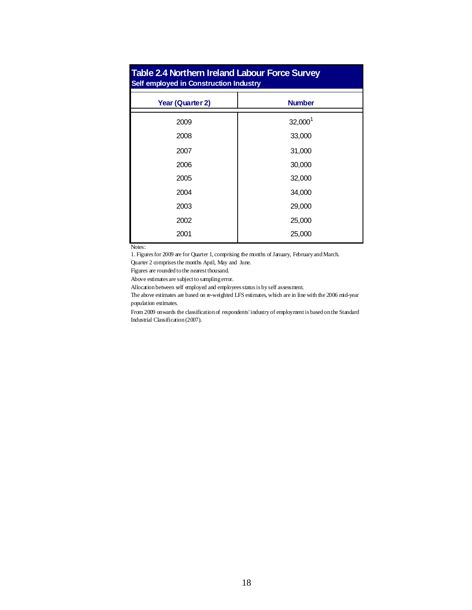| <b>Table 2.4 Northern Ireland Labour Force Survey</b><br>Self employed in Construction Industry |               |  |  |  |  |  |  |
|-------------------------------------------------------------------------------------------------|---------------|--|--|--|--|--|--|
| Year (Quarter 2)                                                                                | <b>Number</b> |  |  |  |  |  |  |
| 2009                                                                                            | $32,000^1$    |  |  |  |  |  |  |
| 2008                                                                                            | 33,000        |  |  |  |  |  |  |
| 2007                                                                                            | 31,000        |  |  |  |  |  |  |
| 2006                                                                                            | 30,000        |  |  |  |  |  |  |
| 2005                                                                                            | 32,000        |  |  |  |  |  |  |
| 2004                                                                                            | 34,000        |  |  |  |  |  |  |
| 2003                                                                                            | 29,000        |  |  |  |  |  |  |
| 2002                                                                                            | 25,000        |  |  |  |  |  |  |
| 2001                                                                                            | 25,000        |  |  |  |  |  |  |

Notes:

1. Figures for 2009 are for Quarter 1, comprising the months of January, February and March.

Quarter 2 comprises the months April, May and June.

Figures are rounded to the nearest thousand.

Above estimates are subject to sampling error.

Allocation between self employed and employees status is by self assessment.

The above estimates are based on re-weighted LFS estimates, which are in line with the 2006 mid-year population estimates.

From 2009 onwards the classification of respondents' industry of employment is based on the Standard Industrial Classification (2007).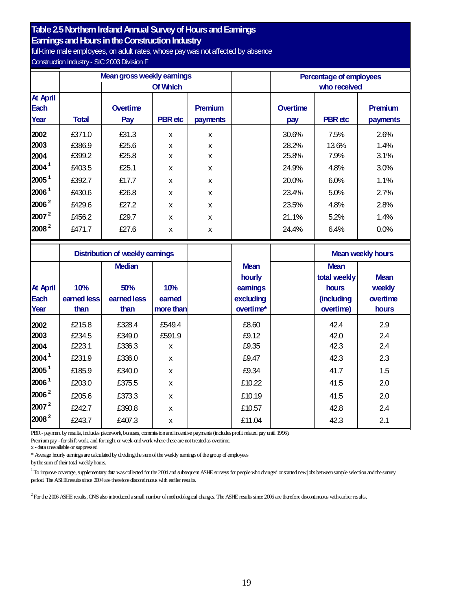#### **Table 2.5 Northern Ireland Annual Survey of Hours and Earnings**

**Earnings and Hours in the Construction Industry** 

full-time male employees, on adult rates, whose pay was not affected by absence Construction Industry- SIC2003 Division F

|                                        |              |                 | Mean gross weekly earnings |                            |  |                 | Percentage of employees |                     |
|----------------------------------------|--------------|-----------------|----------------------------|----------------------------|--|-----------------|-------------------------|---------------------|
|                                        |              |                 | <b>Of Which</b>            |                            |  |                 | who received            |                     |
| <b>At April</b><br><b>Each</b><br>Year | <b>Total</b> | Overtime<br>Pay | <b>PBR</b> etc             | <b>Premium</b><br>payments |  | Overtime<br>pay | <b>PBR</b> etc          | Premium<br>payments |
| 2002                                   | £371.0       | £31.3           | X                          | X                          |  | 30.6%           | 7.5%                    | 2.6%                |
| 2003                                   | £386.9       | £25.6           | X                          | X                          |  | 28.2%           | 13.6%                   | 1.4%                |
| 2004                                   | £399.2       | £25.8           | X                          | X                          |  | 25.8%           | 7.9%                    | 3.1%                |
| $2004^1$                               | £403.5       | £25.1           | X                          | X                          |  | 24.9%           | 4.8%                    | 3.0%                |
| 2005 <sup>1</sup>                      | £392.7       | £17.7           | X                          | X                          |  | 20.0%           | 6.0%                    | 1.1%                |
| 2006 <sup>1</sup>                      | £430.6       | £26.8           | X                          | X                          |  | 23.4%           | 5.0%                    | 2.7%                |
| $2006^2$                               | £429.6       | £27.2           | X                          | X                          |  | 23.5%           | 4.8%                    | 2.8%                |
| $2007^2$                               | £456.2       | £29.7           | X                          | X                          |  | 21.1%           | 5.2%                    | 1.4%                |
| $2008^2$                               | £471.7       | £27.6           | X                          | X                          |  | 24.4%           | 6.4%                    | 0.0%                |

|                                 | <b>Distribution of weekly earnings</b> |                                             |                           |                                                            | <b>Mean weekly hours</b>                                        |                                            |
|---------------------------------|----------------------------------------|---------------------------------------------|---------------------------|------------------------------------------------------------|-----------------------------------------------------------------|--------------------------------------------|
| <b>At April</b><br>Each<br>Year | 10%<br>earned less<br>than             | <b>Median</b><br>50%<br>earned less<br>than | 10%<br>eamed<br>more than | <b>Mean</b><br>hourly<br>eamings<br>excluding<br>overtime* | <b>Mean</b><br>total weekly<br>hours<br>(including<br>overtime) | <b>Mean</b><br>weekly<br>overtime<br>hours |
| 2002                            | £215.8                                 | £328.4                                      | £549.4                    | £8.60                                                      | 42.4                                                            | 2.9                                        |
| 2003                            | £234.5                                 | £349.0                                      | £591.9                    | £9.12                                                      | 42.0                                                            | 2.4                                        |
| 2004                            | £223.1                                 | £336.3                                      | x                         | £9.35                                                      | 42.3                                                            | 2.4                                        |
| 2004 <sup>1</sup>               | £231.9                                 | £336.0                                      | X                         | £9.47                                                      | 42.3                                                            | 2.3                                        |
| 2005 <sup>1</sup>               | £185.9                                 | £340.0                                      | X                         | £9.34                                                      | 41.7                                                            | 1.5                                        |
| 2006 <sup>1</sup>               | £203.0                                 | £375.5                                      | X                         | £10.22                                                     | 41.5                                                            | 2.0                                        |
| $2006^2$                        | £205.6                                 | £373.3                                      | X                         | £10.19                                                     | 41.5                                                            | 2.0                                        |
| $2007^2$                        | £242.7                                 | £390.8                                      | X                         | £10.57                                                     | 42.8                                                            | 2.4                                        |
| 2008 <sup>2</sup>               | £243.7                                 | £407.3                                      | X                         | £11.04                                                     | 42.3                                                            | 2.1                                        |

PBR- payment by results, includes piecework, bonuses, commissionandincentive payments (includesprofit related pay until 1996).

Premium pay - for shift-work, and for night or week-end work where these are not treated as overtime.

x - data unavailable or suppressed

\* Average hourly earningsare calculated by dividingthe sumof the weekly earningsof the group of employees

bythe sumof their total weeklyhours.

<sup>1</sup> To improve coverage, supplementary data was collected for the 2004 and subsequent ASHE surveys for people who changed or started new jobs between sample selection and the survey period. The ASHEresultssince 2004are therefore discontinuous with earlier results.

 $^2$  For the 2006 ASHE results, ONS also introduced a small number of methodological changes. The ASHE results since 2006 are therefore discontinuous with earlier results.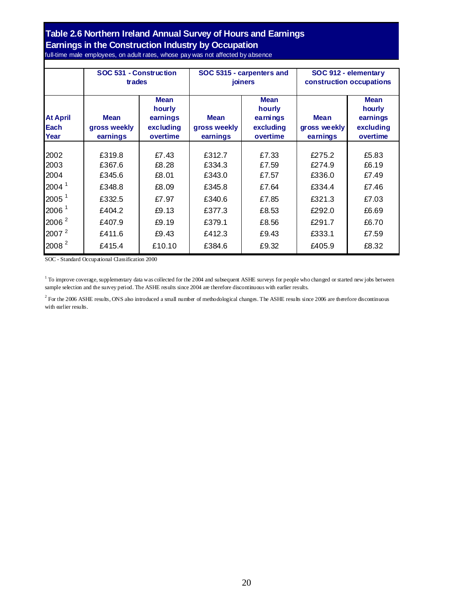#### **Table 2.6 Northern Ireland Annual Survey of Hours and Earnings Earnings in the Construction Industry by Occupation** full-time male employees, on adult rates, whose pay was not affected by absence

|                                 | SOC 531 - Construction                  |                                                            |                                         | SOC 5315 - carpenters and                                  | SOC 912 - elementary                    |                                                            |  |
|---------------------------------|-----------------------------------------|------------------------------------------------------------|-----------------------------------------|------------------------------------------------------------|-----------------------------------------|------------------------------------------------------------|--|
|                                 | trades                                  |                                                            |                                         | joiners                                                    | construction occupations                |                                                            |  |
| <b>At April</b><br>Each<br>Year | <b>Mean</b><br>gross weekly<br>earnings | <b>Mean</b><br>hourly<br>earnings<br>excluding<br>overtime | <b>Mean</b><br>gross weekly<br>earnings | <b>Mean</b><br>hourly<br>earnings<br>excluding<br>overtime | <b>Mean</b><br>gross weekly<br>earnings | <b>Mean</b><br>hourly<br>earnings<br>excluding<br>overtime |  |
| 2002                            | £319.8                                  | £7.43                                                      | £312.7                                  | £7.33                                                      | £275.2                                  | £5.83                                                      |  |
| 2003                            | £367.6                                  | £8.28                                                      | £334.3                                  | £7.59                                                      | £274.9                                  | £6.19                                                      |  |
| 2004                            | £345.6                                  | £8.01                                                      | £343.0                                  | £7.57                                                      | £336.0                                  | £7.49                                                      |  |
| 2004 <sup>1</sup>               | £348.8                                  | £8.09                                                      | £345.8                                  | £7.64                                                      | £334.4                                  | £7.46                                                      |  |
| $2005^1$                        | £332.5                                  | £7.97                                                      | £340.6                                  | £7.85                                                      | £321.3                                  | £7.03                                                      |  |
| 2006 <sup>1</sup>               | £404.2                                  | £9.13                                                      | £377.3                                  | £8.53                                                      | £292.0                                  | £6.69                                                      |  |
| 2006 <sup>2</sup>               | £407.9                                  | £9.19                                                      | £379.1                                  | £8.56                                                      | £291.7                                  | £6.70                                                      |  |
| 2007 <sup>2</sup>               | £411.6                                  | £9.43                                                      | £412.3                                  | £9.43                                                      | £333.1                                  | £7.59                                                      |  |
| 2008 <sup>2</sup>               | £415.4                                  | £10.10                                                     | £384.6                                  | £9.32                                                      | £405.9                                  | £8.32                                                      |  |

SOC - Standard Occupational Classification 2000

<sup>1</sup> To improve coverage, supplementary data was collected for the 2004 and subsequent ASHE surveys for people who changed or started new jobs between sample selection and the survey period. The ASHE results since 2004 are therefore discontinuous with earlier results.

 $^2$  For the 2006 ASHE results, ONS also introduced a small number of methodological changes. The ASHE results since 2006 are therefore discontinuous with earlier results.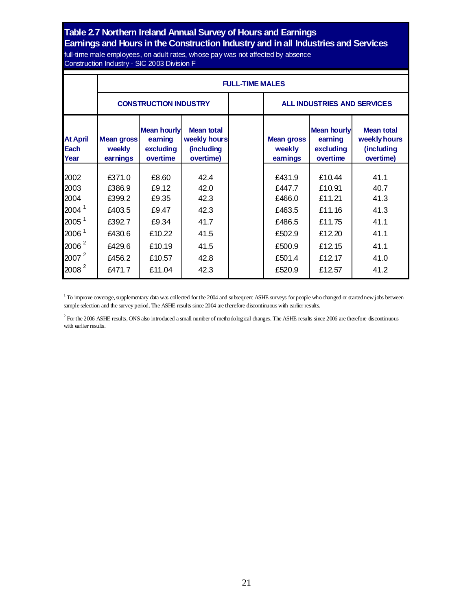## **Table 2.7 Northern Ireland Annual Survey of Hours and Earnings**

### **Earnings and Hours in the Construction Industry and inall Industries and Services**

full-time male employees, on adult rates, whose pay was not affected by absence Construction Industry - SIC 2003 Division F

|                                                                                                                         |                                                                              | <b>FULL-TIME MALES</b>                                                  |                                                              |  |                                                                              |                                                                              |                                                              |  |  |  |  |  |
|-------------------------------------------------------------------------------------------------------------------------|------------------------------------------------------------------------------|-------------------------------------------------------------------------|--------------------------------------------------------------|--|------------------------------------------------------------------------------|------------------------------------------------------------------------------|--------------------------------------------------------------|--|--|--|--|--|
|                                                                                                                         |                                                                              | <b>CONSTRUCTION INDUSTRY</b>                                            |                                                              |  | <b>ALL INDUSTRIES AND SERVICES</b>                                           |                                                                              |                                                              |  |  |  |  |  |
| <b>At April</b><br><b>Each</b><br>Year                                                                                  | <b>Mean gross</b><br>weekly<br>earnings                                      | <b>Mean hourly</b><br>earning<br>excluding<br>overtime                  | <b>Mean total</b><br>weekly hours<br>(including<br>overtime) |  | <b>Mean gross</b><br>weekly<br>earnings                                      | <b>Mean hourly</b><br>earning<br>excluding<br>overtime                       | <b>Mean total</b><br>weekly hours<br>(including<br>overtime) |  |  |  |  |  |
| 2002<br>2003<br>2004<br>2004 <sup>1</sup><br>2005 <sup>1</sup><br>2006 <sup>1</sup><br>$2006^2$<br>$2007^2$<br>$2008^2$ | £371.0<br>£386.9<br>£399.2<br>£403.5<br>£392.7<br>£430.6<br>£429.6<br>£456.2 | £8.60<br>£9.12<br>£9.35<br>£9.47<br>£9.34<br>£10.22<br>£10.19<br>£10.57 | 42.4<br>42.0<br>42.3<br>42.3<br>41.7<br>41.5<br>41.5<br>42.8 |  | £431.9<br>£447.7<br>£466.0<br>£463.5<br>£486.5<br>£502.9<br>£500.9<br>£501.4 | £10.44<br>£10.91<br>£11.21<br>£11.16<br>£11.75<br>£12.20<br>£12.15<br>£12.17 | 41.1<br>40.7<br>41.3<br>41.3<br>41.1<br>41.1<br>41.1<br>41.0 |  |  |  |  |  |

<sup>1</sup> To improve coverage, supplementary data was collected for the 2004 and subsequent ASHE surveys for people who changed or started new jobs between sample selection and the survey period. The ASHE results since 2004 are therefore discontinuous with earlier results.

<sup>2</sup> For the 2006 ASHE results, ONS also introduced a small number of methodological changes. The ASHE results since 2006 are therefore discontinuous with earlier results.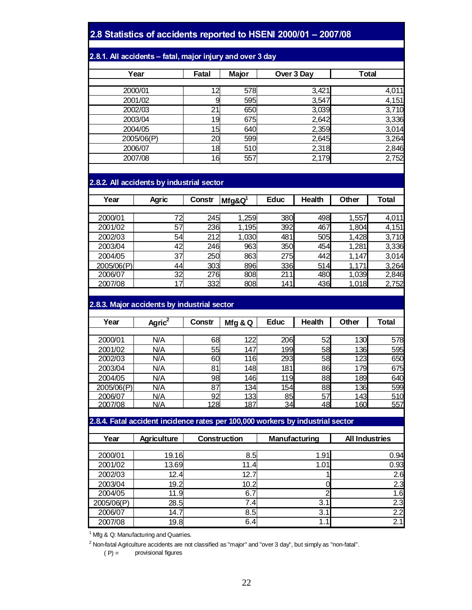#### 2.8 Statistics of accidents reported to HSENI 2000/01 - 2007/08

#### 2.8.1. All accidents - fatal, major injury and over 3 day

| Year       | Fatal | Major | Over 3 Day | <b>Total</b> |
|------------|-------|-------|------------|--------------|
|            |       |       |            |              |
| 2000/01    | 12    | 578   | 3,421      | 4,011        |
| 2001/02    | 9     | 595   | 3,547      | 4,151        |
| 2002/03    | 21    | 650   | 3,039      | 3,710        |
| 2003/04    | 19    | 675   | 2,642      | 3,336        |
| 2004/05    | 15    | 640   | 2,359      | 3,014        |
| 2005/06(P) | 20    | 599   | 2,645      | 3,264        |
| 2006/07    | 18    | 510   | 2,318      | 2,846        |
| 2007/08    | 16    | 557   | 2,179      | 2,752        |

#### **2.8.2. All accidents by industrial sector**

| Year       | <b>Agric</b> | Constr | $Mfg&Q^1$ | <b>Educ</b> | <b>Health</b> | Other | Total |
|------------|--------------|--------|-----------|-------------|---------------|-------|-------|
|            |              |        |           |             |               |       |       |
| 2000/01    | 72           | 245    | 1,259     | 380         | 498           | 1,557 | 4,011 |
| 2001/02    | 57           | 236    | 1,195     | 392         | 467           | 1,804 | 4,151 |
| 2002/03    | 54           | 212    | 1,030     | 481         | 505           | 1,428 | 3,710 |
| 2003/04    | 42           | 246    | 963       | 350         | 454           | 1,281 | 3,336 |
| 2004/05    | 37           | 250    | 863       | 275         | 442           | 1,147 | 3,014 |
| 2005/06(P) | 44           | 303    | 896       | 336         | 514           | 1,171 | 3,264 |
| 2006/07    | 32           | 276    | 808       | 211         | 480           | 1,039 | 2,846 |
| 2007/08    | 7<br>4       | 332    | 808       | 141         | 436           | 1,018 | 2,752 |

#### **2.8.3. Major accidents by industrial sector**

| Year       | Agric <sup>2</sup> | Constr | Mfg & Q | <b>Educ</b> | <b>Health</b> | Other | <b>Total</b> |
|------------|--------------------|--------|---------|-------------|---------------|-------|--------------|
|            |                    |        |         |             |               |       |              |
| 2000/01    | N/A                | 68     | 122     | 206         | 52            | 130   | 578          |
| 2001/02    | N/A                | 55     | 147     | 199         | 58            | 136   | 595          |
| 2002/03    | N/A                | 60     | 116     | 293         | 58            | 123   | 650          |
| 2003/04    | N/A                | 81     | 148     | 181         | 86            | 179   | 675          |
| 2004/05    | N/A                | 98     | 146     | 119         | 88            | 189   | 640          |
| 2005/06(P) | N/A                | 87     | 134     | 154         | 88            | 136   | 599          |
| 2006/07    | N/A                | 92     | 133     | 85          | 57            | 143   | 510          |
| 2007/08    | N/A                | 128    | 187     | 34          | 48            | 160   | 557          |

#### **2.8.4. Fatal accident incidence rates per 100,000 workers by industrial sector**

| Year       | <b>Agriculture</b> | <b>Construction</b> | Manufacturing | <b>All Industries</b> |  |  |  |  |
|------------|--------------------|---------------------|---------------|-----------------------|--|--|--|--|
|            |                    |                     |               |                       |  |  |  |  |
| 2000/01    | 19.16              | 8.5                 | 1.91          | 0.94                  |  |  |  |  |
| 2001/02    | 13.69              | 11.4                | 1.01          | 0.93                  |  |  |  |  |
| 2002/03    | 12.4               | 12.7                |               | 2.6                   |  |  |  |  |
| 2003/04    | 19.2               | 10.2                |               | 2.3                   |  |  |  |  |
| 2004/05    | 11.9               | 6.7                 |               | 1.6                   |  |  |  |  |
| 2005/06(P) | 28.5               | 7.4                 | 3.1           | $\overline{2.3}$      |  |  |  |  |
| 2006/07    | 14.7               | 8.5                 | 3.1           | $\overline{2.2}$      |  |  |  |  |
| 2007/08    | 19.8               | 6.4                 | 1.1           | 2.1                   |  |  |  |  |

 $1$  Mfg & Q: Manufacturing and Quarries.

<sup>2</sup> Non-fatal Agriculture accidents are not classified as "major" and "over 3 day", but simply as "non-fatal".

 $(P) =$  provisional figures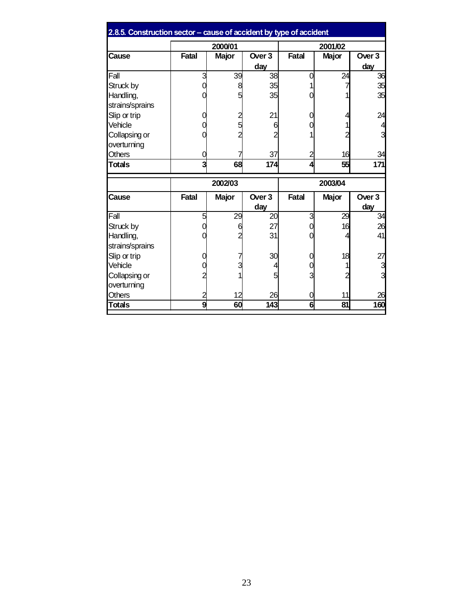| 2.8.5. Construction sector - cause of accident by type of accident |              |              |                   |              |              |                          |
|--------------------------------------------------------------------|--------------|--------------|-------------------|--------------|--------------|--------------------------|
|                                                                    | 2000/01      |              |                   | 2001/02      |              |                          |
| Cause                                                              | <b>Fatal</b> | <b>Major</b> | Over <sub>3</sub> | Fatal        | <b>Major</b> | Over <sub>3</sub>        |
|                                                                    |              |              | day               |              |              | day                      |
| Fall                                                               | 3            | 39           | 38                |              | 24           | 36                       |
| Struck by                                                          |              |              | 35                |              |              | 35                       |
| Handling,<br>strains/sprains                                       |              | 5            | 35                |              |              | 35                       |
| Slip or trip                                                       |              |              | 21                |              | 4            | 24                       |
| Vehicle                                                            |              |              | 6                 |              |              |                          |
| Collapsing or                                                      |              |              |                   |              | 2            |                          |
| overturning                                                        |              |              |                   |              |              |                          |
| <b>Others</b>                                                      |              |              | 37                | 2            | 16           | 34                       |
| <b>Totals</b>                                                      | 3            | 68           | 174               | Δ            | 55           | 171                      |
|                                                                    | 2002/03      |              |                   | 2003/04      |              |                          |
| Cause                                                              | <b>Fatal</b> | <b>Major</b> | Over 3<br>day     | <b>Fatal</b> | <b>Major</b> | Over <sub>3</sub><br>day |
| Fall                                                               | 5            | 29           | 20                | 3            | 29           | $\overline{34}$          |
| Struck by                                                          |              | 6            | 27                |              | 16           | 26                       |
| Handling,                                                          |              |              | 31                |              |              | 41                       |
| strains/sprains                                                    |              |              |                   |              |              |                          |
| Slip or trip                                                       |              |              | 30                |              | 18           | 27                       |
| Vehicle                                                            |              | 3            |                   |              |              | 3                        |
| Collapsing or<br>overturning                                       |              |              |                   |              |              |                          |
| <b>Others</b>                                                      | 2            | 12           | 26                |              | 11           | 26                       |
| <b>Totals</b>                                                      | 9            | 60           | 143               | 6            | 81           | 160                      |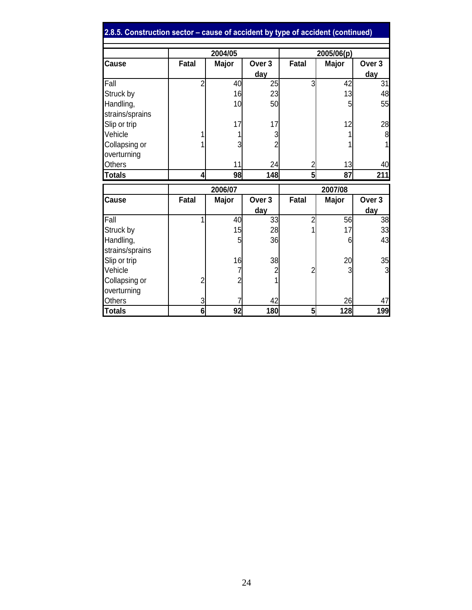| 2.8.5. Construction sector - cause of accident by type of accident (continued) |                |                                   |                   |                       |            |                   |  |
|--------------------------------------------------------------------------------|----------------|-----------------------------------|-------------------|-----------------------|------------|-------------------|--|
|                                                                                |                | 2004/05                           |                   |                       | 2005/06(p) |                   |  |
| <b>Cause</b>                                                                   | <b>Fatal</b>   | Over <sub>3</sub><br><b>Major</b> |                   | <b>Fatal</b><br>Major |            | Over <sub>3</sub> |  |
|                                                                                |                |                                   | day               |                       |            | day               |  |
| Fall                                                                           | $\overline{2}$ | 40                                | 25                | 3                     | 42         | 31                |  |
| Struck by                                                                      |                | 16                                | 23                |                       | 13         | 48                |  |
| Handling,                                                                      |                | 10                                | 50                |                       | 5          | 55                |  |
| strains/sprains                                                                |                |                                   |                   |                       |            |                   |  |
| Slip or trip                                                                   |                | 17                                | 17                |                       | 12         | 28                |  |
| Vehicle                                                                        |                |                                   | 3                 |                       |            | 8                 |  |
| Collapsing or                                                                  |                | 3                                 |                   |                       |            |                   |  |
| overturning                                                                    |                |                                   |                   |                       |            |                   |  |
| <b>Others</b>                                                                  |                | 11                                | 24                | 2                     | 13         | 40                |  |
| <b>Totals</b>                                                                  | 4              | 98                                | 148               | $5\overline{5}$       | 87         | 211               |  |
|                                                                                |                | 2006/07                           |                   | 2007/08               |            |                   |  |
| Cause                                                                          | <b>Fatal</b>   | <b>Major</b>                      | Over <sub>3</sub> | <b>Fatal</b>          | Major      | Over <sub>3</sub> |  |
|                                                                                |                |                                   | <u>day</u>        |                       |            | day               |  |
| Fall                                                                           |                | 40                                | 33                | $\overline{2}$        | 56         | 38                |  |
| Struck by                                                                      |                | 15                                | 28                |                       | 17         | 33                |  |
| Handling,                                                                      |                | 5                                 | 36                |                       | 6          | 43                |  |
| strains/sprains                                                                |                |                                   |                   |                       |            |                   |  |
| Slip or trip                                                                   |                | 16                                | 38                |                       | 20         | 35                |  |
| Vehicle                                                                        |                | 7                                 | 2                 |                       | 3          | 3                 |  |
| Collapsing or                                                                  | 2              | $\overline{2}$                    |                   |                       |            |                   |  |
| overturning                                                                    |                |                                   |                   |                       |            |                   |  |
| Others                                                                         | 3              |                                   | 42                |                       | 26         | 47                |  |
| <b>Totals</b>                                                                  | 6              | 92                                | 180               | 5 <sub>l</sub>        | 128        | 199               |  |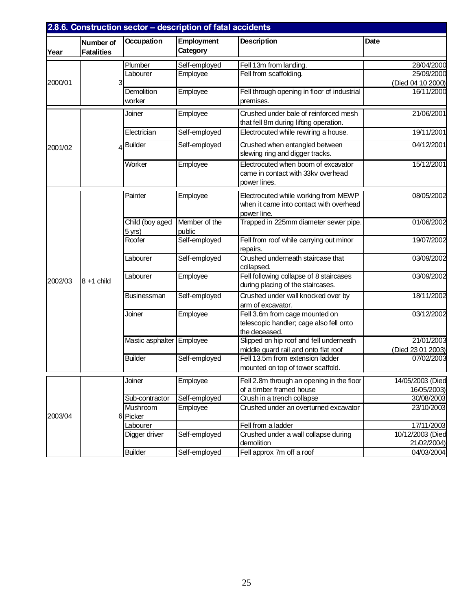| 2.8.6. Construction sector - description of fatal accidents |                                |                   |                               |                                                                                 |                           |
|-------------------------------------------------------------|--------------------------------|-------------------|-------------------------------|---------------------------------------------------------------------------------|---------------------------|
| Year                                                        | Number of<br><b>Fatalities</b> | <b>Occupation</b> | <b>Employment</b><br>Category | <b>Description</b>                                                              | Date                      |
|                                                             |                                | Plumber           | Self-employed                 | Fell 13m from landing.                                                          | 28/04/2000                |
|                                                             |                                | Labourer          | Employee                      | Fell from scaffolding.                                                          | 25/09/2000                |
| 2000/01                                                     |                                |                   |                               |                                                                                 | (Died 04 10 2000)         |
|                                                             |                                | Demolition        | Employee                      | Fell through opening in floor of industrial                                     | 16/11/2000                |
|                                                             |                                | worker            |                               | premises.                                                                       |                           |
|                                                             |                                | Joiner            | Employee                      | Crushed under bale of reinforced mesh<br>that fell 8m during lifting operation. | 21/06/2001                |
|                                                             |                                | Electrician       | Self-employed                 | Electrocuted while rewiring a house.                                            | 19/11/2001                |
| 2001/02                                                     |                                | <b>Builder</b>    | Self-employed                 | Crushed when entangled between                                                  | 04/12/2001                |
|                                                             |                                |                   |                               | slewing ring and digger tracks.                                                 |                           |
|                                                             |                                | Worker            | Employee                      | Electrocuted when boom of excavator                                             | 15/12/2001                |
|                                                             |                                |                   |                               | came in contact with 33kv overhead                                              |                           |
|                                                             |                                |                   |                               | power lines.                                                                    |                           |
|                                                             |                                | Painter           | Employee                      | Electrocuted while working from MEWP                                            | 08/05/2002                |
|                                                             |                                |                   |                               | when it came into contact with overhead                                         |                           |
|                                                             |                                |                   |                               | power line.                                                                     |                           |
|                                                             |                                | Child (boy aged   | Member of the                 | Trapped in 225mm diameter sewer pipe.                                           | 01/06/2002                |
|                                                             |                                | $5$ yrs)          | public                        |                                                                                 |                           |
|                                                             |                                | Roofer            | Self-employed                 | Fell from roof while carrying out minor                                         | 19/07/2002                |
|                                                             |                                |                   |                               | repairs.                                                                        |                           |
|                                                             |                                | Labourer          | Self-employed                 | Crushed underneath staircase that                                               | 03/09/2002                |
|                                                             |                                |                   |                               | collapsed.                                                                      |                           |
| 2002/03                                                     | $8 + 1$ child                  | Labourer          | Employee                      | Fell following collapse of 8 staircases                                         | 03/09/2002                |
|                                                             |                                |                   |                               | during placing of the staircases.                                               |                           |
|                                                             |                                | Businessman       | Self-employed                 | Crushed under wall knocked over by                                              | 18/11/2002                |
|                                                             |                                |                   |                               | arm of excavator.                                                               |                           |
|                                                             |                                | Joiner            | Employee                      | Fell 3.6m from cage mounted on                                                  | 03/12/2002                |
|                                                             |                                |                   |                               | telescopic handler; cage also fell onto                                         |                           |
|                                                             |                                | Mastic asphalter  | Employee                      | the deceased.<br>Slipped on hip roof and fell underneath                        | 21/01/2003                |
|                                                             |                                |                   |                               | middle guard rail and onto flat roof                                            | (Died 23 01 2003)         |
|                                                             |                                | <b>Builder</b>    | Self-employed                 | Fell 13.5m from extension ladder                                                | 07/02/2003                |
|                                                             |                                |                   |                               | mounted on top of tower scaffold.                                               |                           |
|                                                             |                                |                   |                               |                                                                                 |                           |
|                                                             |                                | Joiner            | Employee                      | Fell 2.8m through an opening in the floor                                       | 14/05/2003 (Died          |
|                                                             |                                | Sub-contractor    | Self-employed                 | of a timber framed house<br>Crush in a trench collapse                          | 16/05/2003)<br>30/08/2003 |
|                                                             |                                | Mushroom          | Employee                      | Crushed under an overturned excavator                                           | 23/10/2003                |
| 2003/04                                                     |                                | 6 Picker          |                               |                                                                                 |                           |
|                                                             |                                | Labourer          |                               | Fell from a ladder                                                              | 17/11/2003                |
|                                                             |                                | Digger driver     | Self-employed                 | Crushed under a wall collapse during                                            | 10/12/2003 (Died          |
|                                                             |                                |                   |                               | demolition                                                                      | 21/02/2004)               |
|                                                             |                                | <b>Builder</b>    | Self-employed                 | Fell approx 7m off a roof                                                       | 04/03/2004                |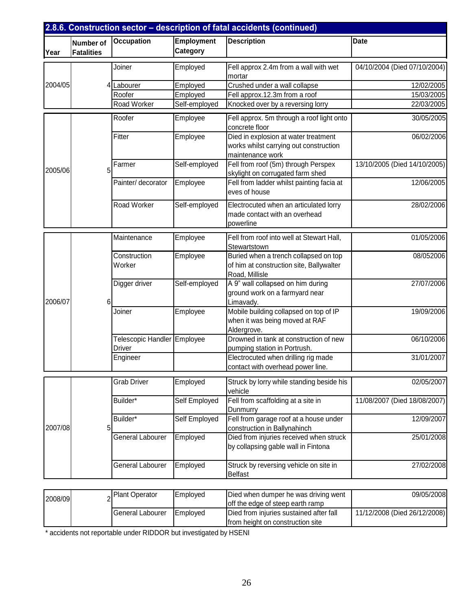|         |                                       |                                              |                                                             | 2.8.6. Construction sector - description of fatal accidents (continued)                             |                              |
|---------|---------------------------------------|----------------------------------------------|-------------------------------------------------------------|-----------------------------------------------------------------------------------------------------|------------------------------|
| Year    | <b>Number of</b><br><b>Fatalities</b> | Occupation                                   | <b>Employment</b><br>Category                               | <b>Description</b>                                                                                  | <b>Date</b>                  |
|         |                                       | Joiner                                       | Employed                                                    | Fell approx 2.4m from a wall with wet<br>mortar                                                     | 04/10/2004 (Died 07/10/2004) |
| 2004/05 |                                       | 4 Labourer                                   | Employed                                                    | Crushed under a wall collapse                                                                       | 12/02/2005                   |
|         |                                       | Roofer                                       | Employed                                                    | Fell approx.12.3m from a roof                                                                       | 15/03/2005                   |
|         |                                       | Road Worker                                  | Self-employed                                               | Knocked over by a reversing lorry                                                                   | 22/03/2005                   |
|         | Roofer                                | Employee                                     | Fell approx. 5m through a roof light onto<br>concrete floor | 30/05/2005                                                                                          |                              |
|         |                                       | Fitter                                       | Employee                                                    | Died in explosion at water treatment<br>works whilst carrying out construction<br>maintenance work  | 06/02/2006                   |
| 2005/06 | 5                                     | Farmer                                       | Self-employed                                               | Fell from roof (5m) through Perspex<br>skylight on corrugated farm shed                             | 13/10/2005 (Died 14/10/2005) |
|         |                                       | Painter/ decorator                           | Employee                                                    | Fell from ladder whilst painting facia at<br>eves of house                                          | 12/06/2005                   |
|         |                                       | Road Worker                                  | Self-employed                                               | Electrocuted when an articulated lorry<br>made contact with an overhead<br>powerline                | 28/02/2006                   |
|         |                                       | Maintenance                                  | Employee                                                    | Fell from roof into well at Stewart Hall,<br>Stewartstown                                           | 01/05/2006                   |
|         |                                       | Construction<br>Worker                       | Employee                                                    | Buried when a trench collapsed on top<br>of him at construction site, Ballywalter<br>Road, Millisle | 08/052006                    |
| 2006/07 | 6                                     | Digger driver                                | Self-employed                                               | A 9" wall collapsed on him during<br>ground work on a farmyard near<br>Limavady.                    | 27/07/2006                   |
|         |                                       | Joiner                                       | Employee                                                    | Mobile building collapsed on top of IP<br>when it was being moved at RAF<br>Aldergrove.             | 19/09/2006                   |
|         |                                       | Telescopic Handler Employee<br><b>Driver</b> |                                                             | Drowned in tank at construction of new<br>pumping station in Portrush.                              | 06/10/2006                   |
|         |                                       | Engineer                                     |                                                             | Electrocuted when drilling rig made<br>contact with overhead power line.                            | 31/01/2007                   |
|         |                                       | <b>Grab Driver</b>                           | Employed                                                    | Struck by lorry while standing beside his<br>vehicle                                                | 02/05/2007                   |
|         |                                       | Builder*                                     | Self Employed                                               | Fell from scaffolding at a site in<br>Dunmurry                                                      | 11/08/2007 (Died 18/08/2007) |
| 2007/08 | 5                                     | Builder*                                     | Self Employed                                               | Fell from garage roof at a house under<br>construction in Ballynahinch                              | 12/09/2007                   |
|         |                                       | General Labourer                             | Employed                                                    | Died from injuries received when struck<br>by collapsing gable wall in Fintona                      | 25/01/2008                   |
|         |                                       | General Labourer                             | Employed                                                    | Struck by reversing vehicle on site in<br><b>Belfast</b>                                            | 27/02/2008                   |
|         |                                       |                                              |                                                             |                                                                                                     |                              |
| 2008/09 |                                       | <b>Plant Operator</b>                        | Employed                                                    | Died when dumper he was driving went<br>off the edge of steep earth ramp                            | 09/05/2008                   |
|         |                                       | General Labourer                             | Employed                                                    | Died from injuries sustained after fall<br>from height on construction site                         | 11/12/2008 (Died 26/12/2008) |

\* accidents not reportable under RIDDOR but investigated by HSENI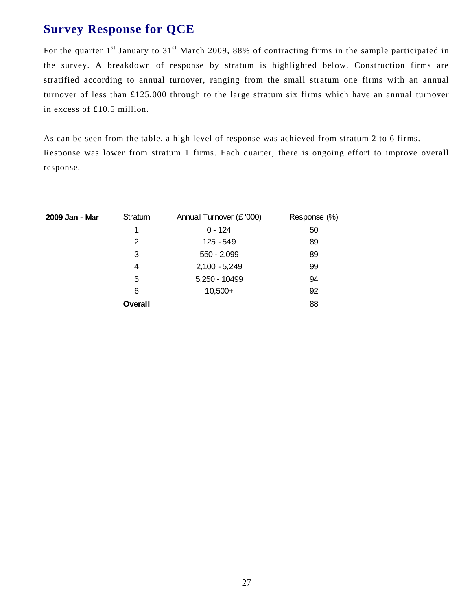## **Survey Response for QCE**

For the quarter 1<sup>st</sup> January to 31<sup>st</sup> March 2009, 88% of contracting firms in the sample participated in the survey. A breakdown of response by stratum is highlighted below. Construction firms are stratified according to annual turnover, ranging from the small stratum one firms with an annual turnover of less than £125,000 through to the large stratum six firms which have an annual turnover in excess of £10.5 million.

As can be seen from the table, a high level of response was achieved from stratum 2 to 6 firms. Response was lower from stratum 1 firms. Each quarter, there is ongoing effort to improve overall response.

| 2009 Jan - Mar | Stratum        | Annual Turnover (£ '000) | Response (%) |
|----------------|----------------|--------------------------|--------------|
|                | 1              | $0 - 124$                | 50           |
|                | 2              | $125 - 549$              | 89           |
|                | 3              | $550 - 2,099$            | 89           |
|                | 4              | $2,100 - 5,249$          | 99           |
|                | 5              | 5,250 - 10499            | 94           |
|                | 6              | $10,500+$                | 92           |
|                | <b>Overall</b> |                          | 88           |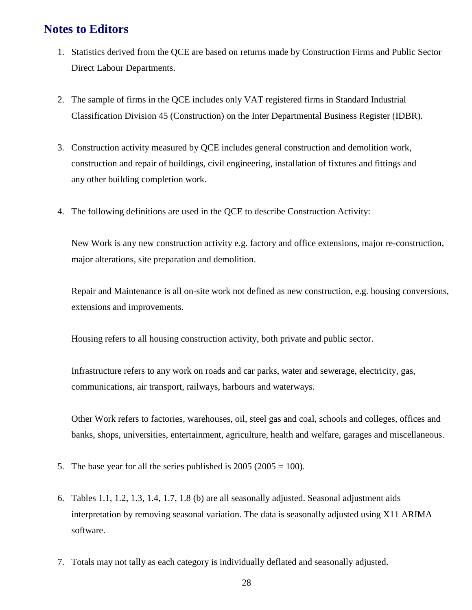## **Notes to Editors**

- 1. Statistics derived from the QCE are based on returns made by Construction Firms and Public Sector Direct Labour Departments.
- 2. The sample of firms in the QCE includes only VAT registered firms in Standard Industrial Classification Division 45 (Construction) on the Inter Departmental Business Register (IDBR).
- 3. Construction activity measured by QCE includes general construction and demolition work, construction and repair of buildings, civil engineering, installation of fixtures and fittings and any other building completion work.
- 4. The following definitions are used in the QCE to describe Construction Activity:

New Work is any new construction activity e.g. factory and office extensions, major re-construction, major alterations, site preparation and demolition.

Repair and Maintenance is all on-site work not defined as new construction, e.g. housing conversions, extensions and improvements.

Housing refers to all housing construction activity, both private and public sector.

Infrastructure refers to any work on roads and car parks, water and sewerage, electricity, gas, communications, air transport, railways, harbours and waterways.

Other Work refers to factories, warehouses, oil, steel gas and coal, schools and colleges, offices and banks, shops, universities, entertainment, agriculture, health and welfare, garages and miscellaneous.

- 5. The base year for all the series published is  $2005 (2005 = 100)$ .
- 6. Tables 1.1, 1.2, 1.3, 1.4, 1.7, 1.8 (b) are all seasonally adjusted. Seasonal adjustment aids interpretation by removing seasonal variation. The data is seasonally adjusted using X11 ARIMA software.
- 7. Totals may not tally as each category is individually deflated and seasonally adjusted.